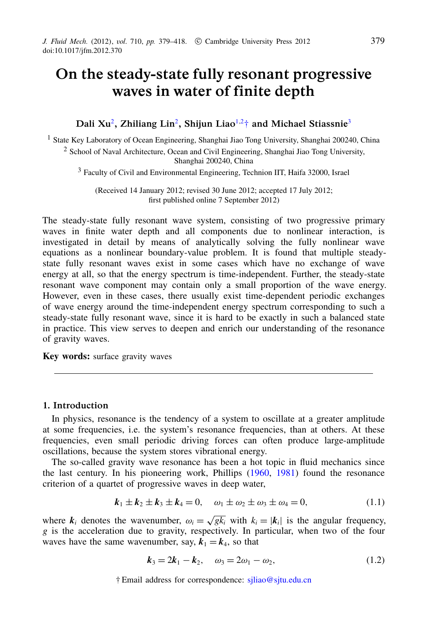# On the steady-state fully resonant progressive waves in water of finite depth

# Dali Xu<sup>2</sup>, Zhiliang Lin<sup>2</sup>, Shijun Liao<sup>1,2</sup>† and Michael Stiassnie<sup>3</sup>

<sup>1</sup> State Key Laboratory of Ocean Engineering, Shanghai Jiao Tong University, Shanghai 200240, China <sup>2</sup> School of Naval Architecture, Ocean and Civil Engineering, Shanghai Jiao Tong University, Shanghai 200240, China

<sup>3</sup> Faculty of Civil and Environmental Engineering, Technion IIT, Haifa 32000, Israel

(Received 14 January 2012; revised 30 June 2012; accepted 17 July 2012; first published online 7 September 2012)

The steady-state fully resonant wave system, consisting of two progressive primary waves in finite water depth and all components due to nonlinear interaction, is investigated in detail by means of analytically solving the fully nonlinear wave equations as a nonlinear boundary-value problem. It is found that multiple steadystate fully resonant waves exist in some cases which have no exchange of wave energy at all, so that the energy spectrum is time-independent. Further, the steady-state resonant wave component may contain only a small proportion of the wave energy. However, even in these cases, there usually exist time-dependent periodic exchanges of wave energy around the time-independent energy spectrum corresponding to such a steady-state fully resonant wave, since it is hard to be exactly in such a balanced state in practice. This view serves to deepen and enrich our understanding of the resonance of gravity waves.

Key words: surface gravity waves

### 1. Introduction

In physics, resonance is the tendency of a system to oscillate at a greater amplitude at some frequencies, i.e. the system's resonance frequencies, than at others. At these frequencies, even small periodic driving forces can often produce large-amplitude oscillations, because the system stores vibrational energy.

The so-called gravity wave resonance has been a hot topic in fluid mechanics since the last century. In his pioneering work, Phillips (1960, 1981) found the resonance criterion of a quartet of progressive waves in deep water,

$$
k_1 \pm k_2 \pm k_3 \pm k_4 = 0
$$
,  $\omega_1 \pm \omega_2 \pm \omega_3 \pm \omega_4 = 0$ , (1.1)

where  $k_i$  denotes the wavenumber,  $\omega_i = \sqrt{g k_i}$  with  $k_i = |k_i|$  is the angular frequency, *g* is the acceleration due to gravity, respectively. In particular, when two of the four waves have the same wavenumber, say,  $k_1 = k_4$ , so that

$$
k_3 = 2k_1 - k_2, \quad \omega_3 = 2\omega_1 - \omega_2, \tag{1.2}
$$

† Email address for correspondence: [sjliao@sjtu.edu.cn](mailto:sjliao@sjtu.edu.cn)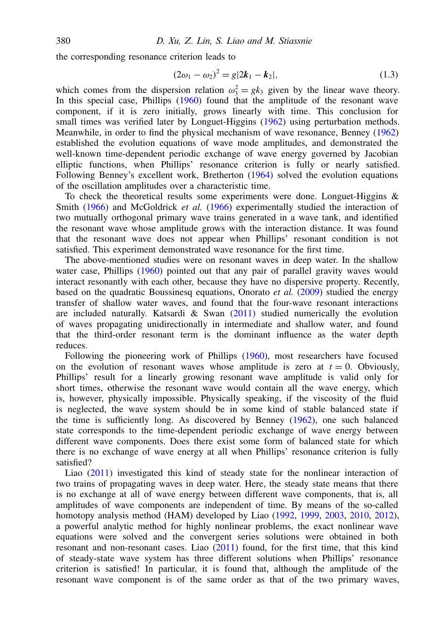the corresponding resonance criterion leads to

$$
(2\omega_1 - \omega_2)^2 = g|2k_1 - k_2|,\tag{1.3}
$$

which comes from the dispersion relation  $\omega_3^2 = g k_3$  given by the linear wave theory. In this special case, Phillips (1960) found that the amplitude of the resonant wave component, if it is zero initially, grows linearly with time. This conclusion for small times was verified later by Longuet-Higgins (1962) using perturbation methods. Meanwhile, in order to find the physical mechanism of wave resonance, Benney (1962) established the evolution equations of wave mode amplitudes, and demonstrated the well-known time-dependent periodic exchange of wave energy governed by Jacobian elliptic functions, when Phillips' resonance criterion is fully or nearly satisfied. Following Benney's excellent work, Bretherton (1964) solved the evolution equations of the oscillation amplitudes over a characteristic time.

To check the theoretical results some experiments were done. Longuet-Higgins  $\&$ Smith (1966) and McGoldrick *et al.* (1966) experimentally studied the interaction of two mutually orthogonal primary wave trains generated in a wave tank, and identified the resonant wave whose amplitude grows with the interaction distance. It was found that the resonant wave does not appear when Phillips' resonant condition is not satisfied. This experiment demonstrated wave resonance for the first time.

The above-mentioned studies were on resonant waves in deep water. In the shallow water case, Phillips (1960) pointed out that any pair of parallel gravity waves would interact resonantly with each other, because they have no dispersive property. Recently, based on the quadratic Boussinesq equations, Onorato *et al.* (2009) studied the energy transfer of shallow water waves, and found that the four-wave resonant interactions are included naturally. Katsardi & Swan  $(2011)$  studied numerically the evolution of waves propagating unidirectionally in intermediate and shallow water, and found that the third-order resonant term is the dominant influence as the water depth reduces.

Following the pioneering work of Phillips (1960), most researchers have focused on the evolution of resonant waves whose amplitude is zero at  $t = 0$ . Obviously, Phillips' result for a linearly growing resonant wave amplitude is valid only for short times, otherwise the resonant wave would contain all the wave energy, which is, however, physically impossible. Physically speaking, if the viscosity of the fluid is neglected, the wave system should be in some kind of stable balanced state if the time is sufficiently long. As discovered by Benney (1962), one such balanced state corresponds to the time-dependent periodic exchange of wave energy between different wave components. Does there exist some form of balanced state for which there is no exchange of wave energy at all when Phillips' resonance criterion is fully satisfied?

Liao (2011) investigated this kind of steady state for the nonlinear interaction of two trains of propagating waves in deep water. Here, the steady state means that there is no exchange at all of wave energy between different wave components, that is, all amplitudes of wave components are independent of time. By means of the so-called homotopy analysis method (HAM) developed by Liao (1992, 1999, 2003, 2010, 2012), a powerful analytic method for highly nonlinear problems, the exact nonlinear wave equations were solved and the convergent series solutions were obtained in both resonant and non-resonant cases. Liao (2011) found, for the first time, that this kind of steady-state wave system has three different solutions when Phillips' resonance criterion is satisfied! In particular, it is found that, although the amplitude of the resonant wave component is of the same order as that of the two primary waves,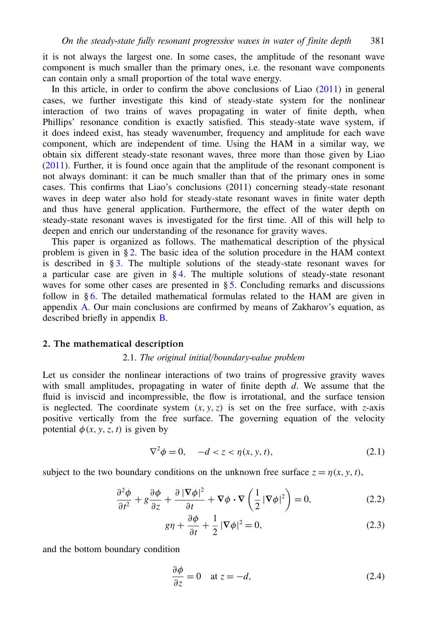it is not always the largest one. In some cases, the amplitude of the resonant wave component is much smaller than the primary ones, i.e. the resonant wave components can contain only a small proportion of the total wave energy.

In this article, in order to confirm the above conclusions of Liao (2011) in general cases, we further investigate this kind of steady-state system for the nonlinear interaction of two trains of waves propagating in water of finite depth, when Phillips' resonance condition is exactly satisfied. This steady-state wave system, if it does indeed exist, has steady wavenumber, frequency and amplitude for each wave component, which are independent of time. Using the HAM in a similar way, we obtain six different steady-state resonant waves, three more than those given by Liao (2011). Further, it is found once again that the amplitude of the resonant component is not always dominant: it can be much smaller than that of the primary ones in some cases. This confirms that Liao's conclusions (2011) concerning steady-state resonant waves in deep water also hold for steady-state resonant waves in finite water depth and thus have general application. Furthermore, the effect of the water depth on steady-state resonant waves is investigated for the first time. All of this will help to deepen and enrich our understanding of the resonance for gravity waves.

This paper is organized as follows. The mathematical description of the physical problem is given in § 2. The basic idea of the solution procedure in the HAM context is described in  $\S 3$ . The multiple solutions of the steady-state resonant waves for a particular case are given in  $\S 4$ . The multiple solutions of steady-state resonant waves for some other cases are presented in  $\S 5$ . Concluding remarks and discussions follow in  $§ 6$ . The detailed mathematical formulas related to the HAM are given in appendix A. Our main conclusions are confirmed by means of Zakharov's equation, as described briefly in appendix B.

## 2. The mathematical description

# 2.1. *The original initial/boundary-value problem*

Let us consider the nonlinear interactions of two trains of progressive gravity waves with small amplitudes, propagating in water of finite depth *d*. We assume that the fluid is inviscid and incompressible, the flow is irrotational, and the surface tension is neglected. The coordinate system  $(x, y, z)$  is set on the free surface, with *z*-axis positive vertically from the free surface. The governing equation of the velocity potential  $\phi(x, y, z, t)$  is given by

$$
\nabla^2 \phi = 0, \quad -d < z < \eta(x, y, t), \tag{2.1}
$$

subject to the two boundary conditions on the unknown free surface  $z = \eta(x, y, t)$ ,

$$
\frac{\partial^2 \phi}{\partial t^2} + g \frac{\partial \phi}{\partial z} + \frac{\partial |\nabla \phi|^2}{\partial t} + \nabla \phi \cdot \nabla \left(\frac{1}{2} |\nabla \phi|^2\right) = 0,
$$
\n(2.2)

$$
g\eta + \frac{\partial \phi}{\partial t} + \frac{1}{2} |\nabla \phi|^2 = 0,
$$
\n(2.3)

and the bottom boundary condition

$$
\frac{\partial \phi}{\partial z} = 0 \quad \text{at } z = -d,\tag{2.4}
$$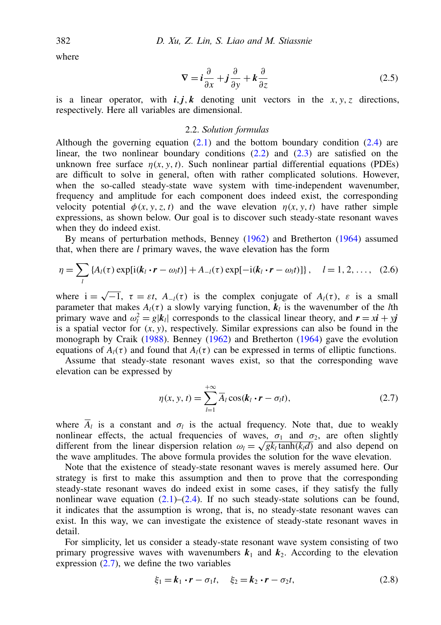where

$$
\nabla = \mathbf{i}\frac{\partial}{\partial x} + \mathbf{j}\frac{\partial}{\partial y} + \mathbf{k}\frac{\partial}{\partial z}
$$
 (2.5)

is a linear operator, with  $\mathbf{i} \cdot \mathbf{i} \cdot \mathbf{k}$  denoting unit vectors in the *x*, *y*, *z* directions, respectively. Here all variables are dimensional.

#### 2.2. *Solution formulas*

Although the governing equation  $(2.1)$  and the bottom boundary condition  $(2.4)$  are linear, the two nonlinear boundary conditions  $(2.2)$  and  $(2.3)$  are satisfied on the unknown free surface  $\eta(x, y, t)$ . Such nonlinear partial differential equations (PDEs) are difficult to solve in general, often with rather complicated solutions. However, when the so-called steady-state wave system with time-independent wavenumber, frequency and amplitude for each component does indeed exist, the corresponding velocity potential  $\phi(x, y, z, t)$  and the wave elevation  $\eta(x, y, t)$  have rather simple expressions, as shown below. Our goal is to discover such steady-state resonant waves when they do indeed exist.

By means of perturbation methods, Benney (1962) and Bretherton (1964) assumed that, when there are *l* primary waves, the wave elevation has the form

$$
\eta = \sum_{l} \left\{ A_{l}(\tau) \exp[i(\boldsymbol{k}_{l} \cdot \boldsymbol{r} - \omega_{l} t)] + A_{-l}(\tau) \exp[-i(\boldsymbol{k}_{l} \cdot \boldsymbol{r} - \omega_{l} t)] \right\}, \quad l = 1, 2, \ldots, \quad (2.6)
$$

where  $i = \sqrt{-1}$ ,  $\tau = \varepsilon t$ ,  $A_{-l}(\tau)$  is the complex conjugate of  $A_l(\tau)$ ,  $\varepsilon$  is a small parameter that makes  $A_l(\tau)$  a slowly varying function,  $k_l$  is the wavenumber of the *l*th primary wave and  $\omega_i^2 = g|k_i|$  corresponds to the classical linear theory, and  $r = x\hat{i} + y\hat{j}$ is a spatial vector for  $(x, y)$ , respectively. Similar expressions can also be found in the monograph by Craik (1988). Benney (1962) and Bretherton (1964) gave the evolution equations of  $A_l(\tau)$  and found that  $A_l(\tau)$  can be expressed in terms of elliptic functions.

Assume that steady-state resonant waves exist, so that the corresponding wave elevation can be expressed by

$$
\eta(x, y, t) = \sum_{l=1}^{+\infty} \overline{A}_l \cos(k_l \cdot r - \sigma_l t), \qquad (2.7)
$$

where  $\overline{A}_l$  is a constant and  $\sigma_l$  is the actual frequency. Note that, due to weakly nonlinear effects, the actual frequencies of waves,  $\sigma_1$  and  $\sigma_2$ , are often slightly different from the linear dispersion relation  $\omega_l = \sqrt{g k_l \tanh(k_l d)}$  and also depend on the wave amplitudes. The above formula provides the solution for the wave elevation.

Note that the existence of steady-state resonant waves is merely assumed here. Our strategy is first to make this assumption and then to prove that the corresponding steady-state resonant waves do indeed exist in some cases, if they satisfy the fully nonlinear wave equation  $(2.1)$ – $(2.4)$ . If no such steady-state solutions can be found, it indicates that the assumption is wrong, that is, no steady-state resonant waves can exist. In this way, we can investigate the existence of steady-state resonant waves in detail.

For simplicity, let us consider a steady-state resonant wave system consisting of two primary progressive waves with wavenumbers  $k_1$  and  $k_2$ . According to the elevation expression  $(2.7)$ , we define the two variables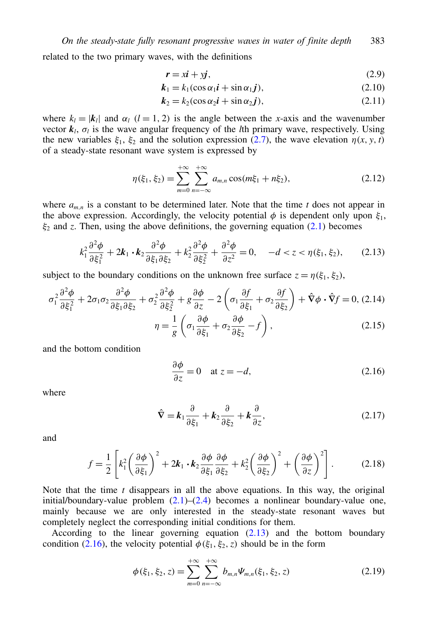related to the two primary waves, with the definitions

$$
r = x\mathbf{i} + y\mathbf{j},\tag{2.9}
$$

$$
\boldsymbol{k}_1 = k_1(\cos \alpha_1 \boldsymbol{i} + \sin \alpha_1 \boldsymbol{j}), \qquad (2.10)
$$

$$
k_2 = k_2(\cos \alpha_2 \mathbf{i} + \sin \alpha_2 \mathbf{j}), \qquad (2.11)
$$

where  $k_l = |\mathbf{k}_l|$  and  $\alpha_l$  ( $l = 1, 2$ ) is the angle between the *x*-axis and the wavenumber vector  $k_l$ ,  $\sigma_l$  is the wave angular frequency of the *l*th primary wave, respectively. Using the new variables  $\xi_1$ ,  $\xi_2$  and the solution expression (2.7), the wave elevation  $\eta(x, y, t)$ of a steady-state resonant wave system is expressed by

$$
\eta(\xi_1, \xi_2) = \sum_{m=0}^{+\infty} \sum_{n=-\infty}^{+\infty} a_{m,n} \cos(m\xi_1 + n\xi_2), \qquad (2.12)
$$

where  $a_{m,n}$  is a constant to be determined later. Note that the time *t* does not appear in the above expression. Accordingly, the velocity potential  $\phi$  is dependent only upon  $\xi_1$ ,  $\xi_2$  and *z*. Then, using the above definitions, the governing equation (2.1) becomes

$$
k_1^2 \frac{\partial^2 \phi}{\partial \xi_1^2} + 2\mathbf{k}_1 \cdot \mathbf{k}_2 \frac{\partial^2 \phi}{\partial \xi_1 \partial \xi_2} + k_2^2 \frac{\partial^2 \phi}{\partial \xi_2^2} + \frac{\partial^2 \phi}{\partial z^2} = 0, \quad -d < z < \eta(\xi_1, \xi_2), \tag{2.13}
$$

subject to the boundary conditions on the unknown free surface  $z = \eta(\xi_1, \xi_2)$ ,

$$
\sigma_1^2 \frac{\partial^2 \phi}{\partial \xi_1^2} + 2\sigma_1 \sigma_2 \frac{\partial^2 \phi}{\partial \xi_1 \partial \xi_2} + \sigma_2^2 \frac{\partial^2 \phi}{\partial \xi_2^2} + g \frac{\partial \phi}{\partial z} - 2\left(\sigma_1 \frac{\partial f}{\partial \xi_1} + \sigma_2 \frac{\partial f}{\partial \xi_2}\right) + \hat{\nabla} \phi \cdot \hat{\nabla} f = 0, (2.14)
$$

$$
\eta = \frac{1}{g} \left(\sigma_1 \frac{\partial \phi}{\partial \xi_1} + \sigma_2 \frac{\partial \phi}{\partial \xi_2} - f\right), \qquad (2.15)
$$

and the bottom condition

$$
\frac{\partial \phi}{\partial z} = 0 \quad \text{at } z = -d,\tag{2.16}
$$

where

$$
\hat{\nabla} = k_1 \frac{\partial}{\partial \xi_1} + k_2 \frac{\partial}{\partial \xi_2} + k \frac{\partial}{\partial z},
$$
\n(2.17)

and

$$
f = \frac{1}{2} \left[ k_1^2 \left( \frac{\partial \phi}{\partial \xi_1} \right)^2 + 2k_1 \cdot k_2 \frac{\partial \phi}{\partial \xi_1} \frac{\partial \phi}{\partial \xi_2} + k_2^2 \left( \frac{\partial \phi}{\partial \xi_2} \right)^2 + \left( \frac{\partial \phi}{\partial z} \right)^2 \right].
$$
 (2.18)

Note that the time *t* disappears in all the above equations. In this way, the original initial/boundary-value problem  $(2.1)$ – $(2.4)$  becomes a nonlinear boundary-value one, mainly because we are only interested in the steady-state resonant waves but completely neglect the corresponding initial conditions for them.

According to the linear governing equation (2.13) and the bottom boundary condition (2.16), the velocity potential  $\phi(\xi_1, \xi_2, z)$  should be in the form

$$
\phi(\xi_1, \xi_2, z) = \sum_{m=0}^{+\infty} \sum_{n=-\infty}^{+\infty} b_{m,n} \Psi_{m,n}(\xi_1, \xi_2, z)
$$
\n(2.19)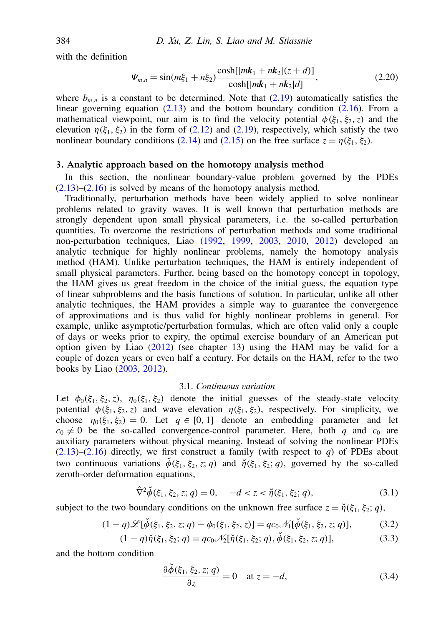with the definition

$$
\Psi_{m,n} = \sin(m\xi_1 + n\xi_2) \frac{\cosh[|mk_1 + nk_2|(z+d)]}{\cosh[|mk_1 + nk_2|d]},
$$
\n(2.20)

where  $b_{m,n}$  is a constant to be determined. Note that (2.19) automatically satisfies the linear governing equation  $(2.13)$  and the bottom boundary condition  $(2.16)$ . From a mathematical viewpoint, our aim is to find the velocity potential  $\phi(\xi_1, \xi_2, z)$  and the elevation  $\eta(\xi_1, \xi_2)$  in the form of (2.12) and (2.19), respectively, which satisfy the two nonlinear boundary conditions (2.14) and (2.15) on the free surface  $z = \eta(\xi_1, \xi_2)$ .

### 3. Analytic approach based on the homotopy analysis method

In this section, the nonlinear boundary-value problem governed by the PDEs  $(2.13)$ – $(2.16)$  is solved by means of the homotopy analysis method.

Traditionally, perturbation methods have been widely applied to solve nonlinear problems related to gravity waves. It is well known that perturbation methods are strongly dependent upon small physical parameters, i.e. the so-called perturbation quantities. To overcome the restrictions of perturbation methods and some traditional non-perturbation techniques, Liao (1992, 1999, 2003, 2010, 2012) developed an analytic technique for highly nonlinear problems, namely the homotopy analysis method (HAM). Unlike perturbation techniques, the HAM is entirely independent of small physical parameters. Further, being based on the homotopy concept in topology, the HAM gives us great freedom in the choice of the initial guess, the equation type of linear subproblems and the basis functions of solution. In particular, unlike all other analytic techniques, the HAM provides a simple way to guarantee the convergence of approximations and is thus valid for highly nonlinear problems in general. For example, unlike asymptotic/perturbation formulas, which are often valid only a couple of days or weeks prior to expiry, the optimal exercise boundary of an American put option given by Liao (2012) (see chapter 13) using the HAM may be valid for a couple of dozen years or even half a century. For details on the HAM, refer to the two books by Liao (2003, 2012).

# 3.1. *Continuous variation*

Let  $\phi_0(\xi_1, \xi_2, z)$ ,  $\eta_0(\xi_1, \xi_2)$  denote the initial guesses of the steady-state velocity potential  $\phi(\xi_1, \xi_2, z)$  and wave elevation  $\eta(\xi_1, \xi_2)$ , respectively. For simplicity, we choose  $\eta_0(\xi_1, \xi_2) = 0$ . Let  $q \in [0, 1]$  denote an embedding parameter and let  $c_0 \neq 0$  be the so-called convergence-control parameter. Here, both *q* and  $c_0$  are auxiliary parameters without physical meaning. Instead of solving the nonlinear PDEs  $(2.13)$ – $(2.16)$  directly, we first construct a family (with respect to *q*) of PDEs about two continuous variations  $\dot{\phi}(\xi_1, \xi_2, z; q)$  and  $\ddot{\eta}(\xi_1, \xi_2; q)$ , governed by the so-called zeroth-order deformation equations,

$$
\hat{\nabla}^2 \check{\phi}(\xi_1, \xi_2, z; q) = 0, \quad -d < z < \check{\eta}(\xi_1, \xi_2; q), \tag{3.1}
$$

subject to the two boundary conditions on the unknown free surface  $z = \eta(\xi_1, \xi_2; q)$ ,

$$
(1-q)\mathcal{L}[\dot{\phi}(\xi_1, \xi_2, z; q) - \phi_0(\xi_1, \xi_2, z)] = qc_0\mathcal{N}_1[\dot{\phi}(\xi_1, \xi_2, z; q)],\tag{3.2}
$$

$$
(1-q)\check{\eta}(\xi_1,\xi_2;q) = qc_0\mathscr{N}_2[\check{\eta}(\xi_1,\xi_2;q),\check{\phi}(\xi_1,\xi_2,z;q)],\tag{3.3}
$$

and the bottom condition

$$
\frac{\partial \dot{\phi}(\xi_1, \xi_2, z; q)}{\partial z} = 0 \quad \text{at } z = -d,
$$
\n(3.4)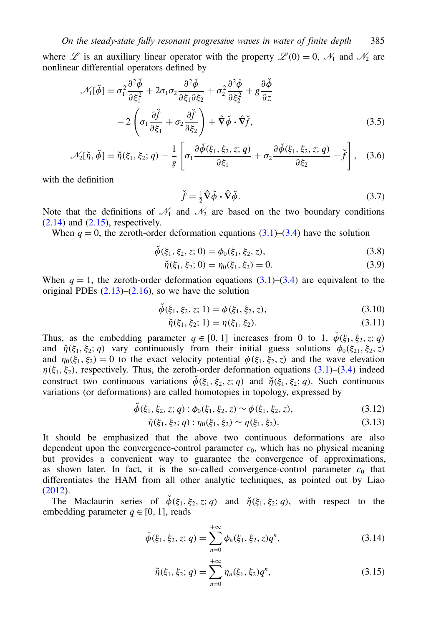where L is an auxiliary linear operator with the property  $\mathscr{L}(0) = 0$ ,  $\mathscr{N}_1$  and  $\mathscr{N}_2$  are nonlinear differential operators defined by

$$
\mathcal{N}_1[\check{\phi}] = \sigma_1^2 \frac{\partial^2 \check{\phi}}{\partial \xi_1^2} + 2\sigma_1 \sigma_2 \frac{\partial^2 \check{\phi}}{\partial \xi_1 \partial \xi_2} + \sigma_2^2 \frac{\partial^2 \check{\phi}}{\partial \xi_2^2} + g \frac{\partial \check{\phi}}{\partial z} - 2 \left( \sigma_1 \frac{\partial \check{f}}{\partial \xi_1} + \sigma_2 \frac{\partial \check{f}}{\partial \xi_2} \right) + \hat{\nabla} \check{\phi} \cdot \hat{\nabla} \check{f},
$$
(3.5)

$$
\mathcal{N}_2[\check{\eta}, \check{\phi}] = \check{\eta}(\xi_1, \xi_2; q) - \frac{1}{g} \left[ \sigma_1 \frac{\partial \check{\phi}(\xi_1, \xi_2, z; q)}{\partial \xi_1} + \sigma_2 \frac{\partial \check{\phi}(\xi_1, \xi_2, z; q)}{\partial \xi_2} - \check{f} \right], \quad (3.6)
$$

with the definition

$$
\check{f} = \frac{1}{2}\hat{\nabla}\check{\phi}\cdot\hat{\nabla}\check{\phi}.\tag{3.7}
$$

Note that the definitions of  $\mathcal{N}_1$  and  $\mathcal{N}_2$  are based on the two boundary conditions  $(2.14)$  and  $(2.15)$ , respectively.

When  $q = 0$ , the zeroth-order deformation equations  $(3.1)$ – $(3.4)$  have the solution

$$
\dot{\phi}(\xi_1, \xi_2, z; 0) = \phi_0(\xi_1, \xi_2, z), \tag{3.8}
$$

$$
\breve{\eta}(\xi_1, \xi_2; 0) = \eta_0(\xi_1, \xi_2) = 0. \tag{3.9}
$$

When  $q = 1$ , the zeroth-order deformation equations  $(3.1)$ – $(3.4)$  are equivalent to the original PDEs  $(2.13)$ – $(2.16)$ , so we have the solution

$$
\dot{\phi}(\xi_1, \xi_2, z; 1) = \phi(\xi_1, \xi_2, z), \tag{3.10}
$$

$$
\tilde{\eta}(\xi_1, \xi_2; 1) = \eta(\xi_1, \xi_2). \tag{3.11}
$$

Thus, as the embedding parameter  $q \in [0, 1]$  increases from 0 to 1,  $\dot{\phi}(\xi_1, \xi_2, z; q)$ and  $\tilde{\eta}(\xi_1, \xi_2; q)$  vary continuously from their initial guess solutions  $\phi_0(\xi_{21}, \xi_2, z)$ and  $\eta_0(\xi_1, \xi_2) = 0$  to the exact velocity potential  $\phi(\xi_1, \xi_2, z)$  and the wave elevation  $\eta(\xi_1, \xi_2)$ , respectively. Thus, the zeroth-order deformation equations (3.1)–(3.4) indeed construct two continuous variations  $\dot{\phi}(\xi_1, \xi_2, z; q)$  and  $\ddot{\eta}(\xi_1, \xi_2; q)$ . Such continuous variations (or deformations) are called homotopies in topology, expressed by

$$
\dot{\phi}(\xi_1, \xi_2, z; q) : \phi_0(\xi_1, \xi_2, z) \sim \phi(\xi_1, \xi_2, z), \tag{3.12}
$$

$$
\breve{\eta}(\xi_1, \xi_2; q) : \eta_0(\xi_1, \xi_2) \sim \eta(\xi_1, \xi_2). \tag{3.13}
$$

It should be emphasized that the above two continuous deformations are also dependent upon the convergence-control parameter  $c_0$ , which has no physical meaning but provides a convenient way to guarantee the convergence of approximations, as shown later. In fact, it is the so-called convergence-control parameter  $c_0$  that differentiates the HAM from all other analytic techniques, as pointed out by Liao (2012).

The Maclaurin series of  $\phi(\xi_1, \xi_2, z; q)$  and  $\breve{\eta}(\xi_1, \xi_2; q)$ , with respect to the embedding parameter  $q \in [0, 1]$ , reads

$$
\breve{\phi}(\xi_1, \xi_2, z; q) = \sum_{n=0}^{+\infty} \phi_n(\xi_1, \xi_2, z) q^n,
$$
\n(3.14)

$$
\breve{\eta}(\xi_1, \xi_2; q) = \sum_{n=0}^{+\infty} \eta_n(\xi_1, \xi_2) q^n,
$$
\n(3.15)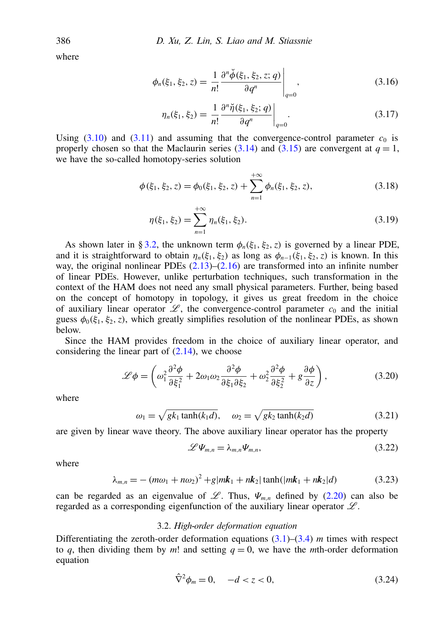where

$$
\phi_n(\xi_1, \xi_2, z) = \frac{1}{n!} \frac{\partial^n \breve{\phi}(\xi_1, \xi_2, z; q)}{\partial q^n} \Big|_{q=0},
$$
\n(3.16)

$$
\eta_n(\xi_1, \xi_2) = \frac{1}{n!} \frac{\partial^n \breve{\eta}(\xi_1, \xi_2; q)}{\partial q^n} \bigg|_{q=0}.
$$
\n(3.17)

Using  $(3.10)$  and  $(3.11)$  and assuming that the convergence-control parameter  $c_0$  is properly chosen so that the Maclaurin series  $(3.14)$  and  $(3.15)$  are convergent at  $q = 1$ , we have the so-called homotopy-series solution

$$
\phi(\xi_1, \xi_2, z) = \phi_0(\xi_1, \xi_2, z) + \sum_{n=1}^{+\infty} \phi_n(\xi_1, \xi_2, z),
$$
\n(3.18)

$$
\eta(\xi_1, \xi_2) = \sum_{n=1}^{+\infty} \eta_n(\xi_1, \xi_2).
$$
\n(3.19)

As shown later in § 3.2, the unknown term  $\phi_n(\xi_1, \xi_2, z)$  is governed by a linear PDE, and it is straightforward to obtain  $\eta_n(\xi_1, \xi_2)$  as long as  $\phi_{n-1}(\xi_1, \xi_2, z)$  is known. In this way, the original nonlinear PDEs  $(2.13)$ – $(2.16)$  are transformed into an infinite number of linear PDEs. However, unlike perturbation techniques, such transformation in the context of the HAM does not need any small physical parameters. Further, being based on the concept of homotopy in topology, it gives us great freedom in the choice of auxiliary linear operator  $\mathscr{L}$ , the convergence-control parameter  $c_0$  and the initial guess  $\phi_0(\xi_1, \xi_2, z)$ , which greatly simplifies resolution of the nonlinear PDEs, as shown below.

Since the HAM provides freedom in the choice of auxiliary linear operator, and considering the linear part of  $(2.14)$ , we choose

$$
\mathcal{L}\phi = \left(\omega_1^2 \frac{\partial^2 \phi}{\partial \xi_1^2} + 2\omega_1 \omega_2 \frac{\partial^2 \phi}{\partial \xi_1 \partial \xi_2} + \omega_2^2 \frac{\partial^2 \phi}{\partial \xi_2^2} + g \frac{\partial \phi}{\partial z}\right),\tag{3.20}
$$

where

 $\omega_1 = \sqrt{gk_1 \tanh(k_1 d)}, \quad \omega_2 = \sqrt{gk_2 \tanh(k_2 d)}$  (3.21)

are given by linear wave theory. The above auxiliary linear operator has the property

$$
\mathscr{L}\Psi_{m,n} = \lambda_{m,n}\Psi_{m,n},\tag{3.22}
$$

where

$$
\lambda_{m,n} = -(m\omega_1 + n\omega_2)^2 + g|m\mathbf{k}_1 + n\mathbf{k}_2| \tanh(|m\mathbf{k}_1 + n\mathbf{k}_2|d) \tag{3.23}
$$

can be regarded as an eigenvalue of  $\mathcal{L}$ . Thus,  $\Psi_{m,n}$  defined by (2.20) can also be regarded as a corresponding eigenfunction of the auxiliary linear operator  $\mathscr{L}$ .

### 3.2. *High-order deformation equation*

Differentiating the zeroth-order deformation equations (3.1)–(3.4) *m* times with respect to *q*, then dividing them by *m*! and setting  $q = 0$ , we have the *m*th-order deformation equation

$$
\hat{\nabla}^2 \phi_m = 0, \quad -d < z < 0,\tag{3.24}
$$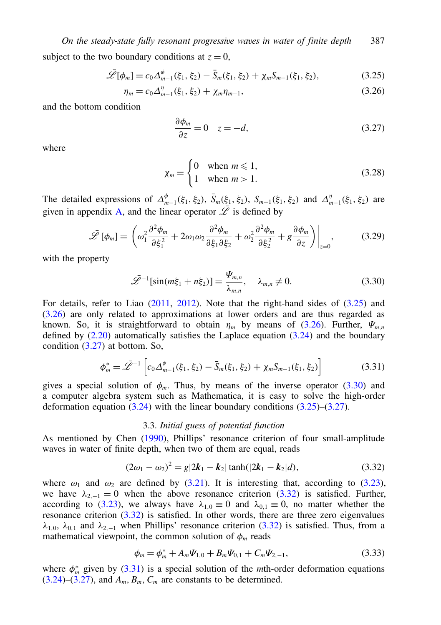*On the steady-state fully resonant progressive waves in water of finite depth* 387 subject to the two boundary conditions at  $z = 0$ ,

$$
\bar{\mathcal{L}}[\phi_m] = c_0 \Delta_{m-1}^{\phi}(\xi_1, \xi_2) - \bar{S}_m(\xi_1, \xi_2) + \chi_m S_{m-1}(\xi_1, \xi_2),
$$
(3.25)

$$
\eta_m = c_0 \Delta_{m-1}^{\eta}(\xi_1, \xi_2) + \chi_m \eta_{m-1}, \tag{3.26}
$$

and the bottom condition

$$
\frac{\partial \phi_m}{\partial z} = 0 \quad z = -d,\tag{3.27}
$$

where

$$
\chi_m = \begin{cases} 0 & \text{when } m \leq 1, \\ 1 & \text{when } m > 1. \end{cases}
$$
 (3.28)

The detailed expressions of  $\Delta_{m-1}^{\phi}(\xi_1, \xi_2)$ ,  $\bar{S}_m(\xi_1, \xi_2)$ ,  $S_{m-1}(\xi_1, \xi_2)$  and  $\Delta_{m-1}^{\eta}(\xi_1, \xi_2)$  are given in appendix A, and the linear operator  $\mathscr L$  is defined by

$$
\bar{\mathscr{L}}\left[\phi_m\right] = \left(\omega_1^2 \frac{\partial^2 \phi_m}{\partial \xi_1^2} + 2\omega_1 \omega_2 \frac{\partial^2 \phi_m}{\partial \xi_1 \partial \xi_2} + \omega_2^2 \frac{\partial^2 \phi_m}{\partial \xi_2^2} + g \frac{\partial \phi_m}{\partial z}\right)\Big|_{z=0},\tag{3.29}
$$

with the property

$$
\bar{\mathcal{L}}^{-1}[\sin(m\xi_1 + n\xi_2)] = \frac{\Psi_{m,n}}{\lambda_{m,n}}, \quad \lambda_{m,n} \neq 0.
$$
 (3.30)

For details, refer to Liao (2011, 2012). Note that the right-hand sides of (3.25) and (3.26) are only related to approximations at lower orders and are thus regarded as known. So, it is straightforward to obtain  $\eta_m$  by means of (3.26). Further,  $\Psi_{m,n}$ defined by  $(2.20)$  automatically satisfies the Laplace equation  $(3.24)$  and the boundary condition (3.27) at bottom. So,

$$
\phi_m^* = \bar{\mathscr{L}}^{-1} \left[ c_0 \Delta_{m-1}^{\phi}(\xi_1, \xi_2) - \bar{S}_m(\xi_1, \xi_2) + \chi_m S_{m-1}(\xi_1, \xi_2) \right]
$$
(3.31)

gives a special solution of  $\phi_m$ . Thus, by means of the inverse operator (3.30) and a computer algebra system such as Mathematica, it is easy to solve the high-order deformation equation  $(3.24)$  with the linear boundary conditions  $(3.25)$ – $(3.27)$ .

## 3.3. *Initial guess of potential function*

As mentioned by Chen (1990), Phillips' resonance criterion of four small-amplitude waves in water of finite depth, when two of them are equal, reads

$$
(2\omega_1 - \omega_2)^2 = g|2k_1 - k_2| \tanh(|2k_1 - k_2|d), \t(3.32)
$$

where  $\omega_1$  and  $\omega_2$  are defined by (3.21). It is interesting that, according to (3.23), we have  $\lambda_{2,-1} = 0$  when the above resonance criterion (3.32) is satisfied. Further, according to (3.23), we always have  $\lambda_{1,0} \equiv 0$  and  $\lambda_{0,1} \equiv 0$ , no matter whether the resonance criterion (3.32) is satisfied. In other words, there are three zero eigenvalues  $\lambda_{1,0}$ ,  $\lambda_{0,1}$  and  $\lambda_{2,-1}$  when Phillips' resonance criterion (3.32) is satisfied. Thus, from a mathematical viewpoint, the common solution of  $\phi_m$  reads

$$
\phi_m = \phi_m^* + A_m \Psi_{1,0} + B_m \Psi_{0,1} + C_m \Psi_{2,-1},
$$
\n(3.33)

where  $\phi_m^*$  given by (3.31) is a special solution of the *m*th-order deformation equations  $(3.24)$ – $(3.27)$ , and  $A_m$ ,  $B_m$ ,  $C_m$  are constants to be determined.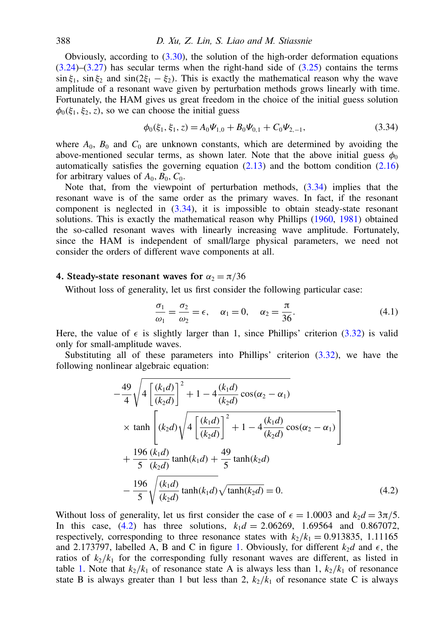Obviously, according to  $(3.30)$ , the solution of the high-order deformation equations  $(3.24)$ – $(3.27)$  has secular terms when the right-hand side of  $(3.25)$  contains the terms  $\sin \xi_1$ ,  $\sin \xi_2$  and  $\sin(2\xi_1 - \xi_2)$ . This is exactly the mathematical reason why the wave amplitude of a resonant wave given by perturbation methods grows linearly with time. Fortunately, the HAM gives us great freedom in the choice of the initial guess solution  $\phi_0(\xi_1, \xi_2, z)$ , so we can choose the initial guess

$$
\phi_0(\xi_1, \xi_1, z) = A_0 \Psi_{1,0} + B_0 \Psi_{0,1} + C_0 \Psi_{2,-1},
$$
\n(3.34)

where  $A_0$ ,  $B_0$  and  $C_0$  are unknown constants, which are determined by avoiding the above-mentioned secular terms, as shown later. Note that the above initial guess  $\phi_0$ automatically satisfies the governing equation  $(2.13)$  and the bottom condition  $(2.16)$ for arbitrary values of  $A_0$ ,  $B_0$ ,  $C_0$ .

Note that, from the viewpoint of perturbation methods, (3.34) implies that the resonant wave is of the same order as the primary waves. In fact, if the resonant component is neglected in (3.34), it is impossible to obtain steady-state resonant solutions. This is exactly the mathematical reason why Phillips (1960, 1981) obtained the so-called resonant waves with linearly increasing wave amplitude. Fortunately, since the HAM is independent of small/large physical parameters, we need not consider the orders of different wave components at all.

# 4. Steady-state resonant waves for  $\alpha_2 = \pi/36$

Without loss of generality, let us first consider the following particular case:

$$
\frac{\sigma_1}{\omega_1} = \frac{\sigma_2}{\omega_2} = \epsilon, \quad \alpha_1 = 0, \quad \alpha_2 = \frac{\pi}{36}.
$$
\n(4.1)

Here, the value of  $\epsilon$  is slightly larger than 1, since Phillips' criterion (3.32) is valid only for small-amplitude waves.

Substituting all of these parameters into Phillips' criterion  $(3.32)$ , we have the following nonlinear algebraic equation:

$$
-\frac{49}{4}\sqrt{4\left[\frac{(k_1d)}{(k_2d)}\right]^2 + 1 - 4\frac{(k_1d)}{(k_2d)}\cos(\alpha_2 - \alpha_1)}
$$
  
 
$$
\times \tanh\left[\frac{(k_2d)}{(k_2d)}\sqrt{4\left[\frac{(k_1d)}{(k_2d)}\right]^2 + 1 - 4\frac{(k_1d)}{(k_2d)}\cos(\alpha_2 - \alpha_1)}\right]
$$
  
 
$$
+\frac{196}{5}\frac{(k_1d)}{(k_2d)}\tanh(k_1d) + \frac{49}{5}\tanh(k_2d)
$$
  
 
$$
-\frac{196}{5}\sqrt{\frac{(k_1d)}{(k_2d)}\tanh(k_1d)}\sqrt{\tanh(k_2d)} = 0.
$$
 (4.2)

Without loss of generality, let us first consider the case of  $\epsilon = 1.0003$  and  $k \cdot d = 3\pi/5$ . In this case,  $(4.2)$  has three solutions,  $k_1d = 2.06269$ , 1.69564 and 0.867072, respectively, corresponding to three resonance states with  $k_2/k_1 = 0.913835$ , 1.11165 and 2.173797, labelled A, B and C in figure 1. Obviously, for different  $k_2d$  and  $\epsilon$ , the ratios of  $k_2/k_1$  for the corresponding fully resonant waves are different, as listed in table 1. Note that  $k_2/k_1$  of resonance state A is always less than 1,  $k_2/k_1$  of resonance state B is always greater than 1 but less than 2,  $k_2/k_1$  of resonance state C is always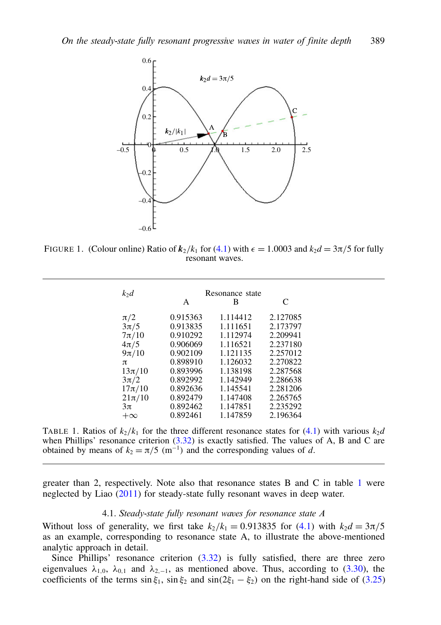

FIGURE 1. (Colour online) Ratio of  $k_2/k_1$  for (4.1) with  $\epsilon = 1.0003$  and  $k_2d = 3\pi/5$  for fully resonant waves.

| $k_2d$     |          | Resonance state |          |
|------------|----------|-----------------|----------|
|            | A        | В               | C        |
| $\pi/2$    | 0.915363 | 1.114412        | 2.127085 |
| $3\pi/5$   | 0.913835 | 1.111651        | 2.173797 |
| $7\pi/10$  | 0.910292 | 1.112974        | 2.209941 |
| $4\pi/5$   | 0.906069 | 1.116521        | 2.237180 |
| $9\pi/10$  | 0.902109 | 1.121135        | 2.257012 |
| π          | 0.898910 | 1.126032        | 2.270822 |
| $13\pi/10$ | 0.893996 | 1.138198        | 2.287568 |
| $3\pi/2$   | 0.892992 | 1.142949        | 2.286638 |
| $17\pi/10$ | 0.892636 | 1.145541        | 2.281206 |
| $21\pi/10$ | 0.892479 | 1.147408        | 2.265765 |
| 3π         | 0.892462 | 1.147851        | 2.235292 |
| $+\infty$  | 0.892461 | 1.147859        | 2.196364 |

TABLE 1. Ratios of  $k_2/k_1$  for the three different resonance states for (4.1) with various  $k_2d$ when Phillips' resonance criterion  $(3.32)$  is exactly satisfied. The values of A, B and C are obtained by means of  $k_2 = \pi/5 \text{ (m}^{-1})$  and the corresponding values of *d*.

greater than 2, respectively. Note also that resonance states B and C in table 1 were neglected by Liao (2011) for steady-state fully resonant waves in deep water.

# 4.1. *Steady-state fully resonant waves for resonance state A*

Without loss of generality, we first take  $k_2/k_1 = 0.913835$  for (4.1) with  $k_2d = 3\pi/5$ as an example, corresponding to resonance state A, to illustrate the above-mentioned analytic approach in detail.

Since Phillips' resonance criterion (3.32) is fully satisfied, there are three zero eigenvalues  $\lambda_{1,0}$ ,  $\lambda_{0,1}$  and  $\lambda_{2,-1}$ , as mentioned above. Thus, according to (3.30), the coefficients of the terms  $\sin \xi_1$ ,  $\sin \xi_2$  and  $\sin(2\xi_1 - \xi_2)$  on the right-hand side of (3.25)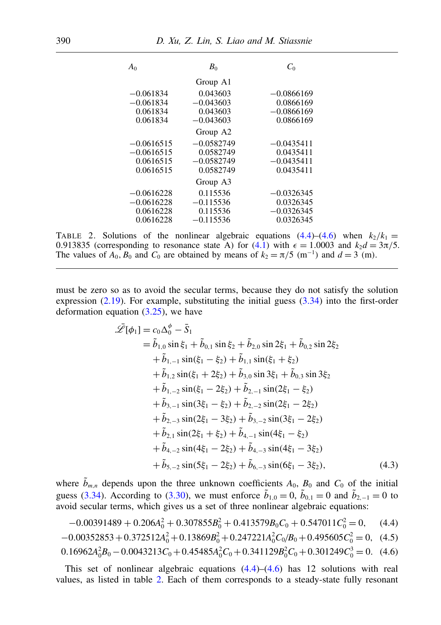| $A_0$        | $B_0$        | $C_0$        |
|--------------|--------------|--------------|
|              | Group A1     |              |
| $-0.061834$  | 0.043603     | $-0.0866169$ |
| -0.061834    | $-0.043603$  | 0.0866169    |
| 0.061834     | 0.043603     | $-0.0866169$ |
| 0.061834     | $-0.043603$  | 0.0866169    |
|              | Group A2     |              |
| $-0.0616515$ | $-0.0582749$ | $-0.0435411$ |
| $-0.0616515$ | 0.0582749    | 0.0435411    |
| 0.0616515    | $-0.0582749$ | $-0.0435411$ |
| 0.0616515    | 0.0582749    | 0.0435411    |
|              | Group A3     |              |
| $-0.0616228$ | 0.115536     | $-0.0326345$ |
| $-0.0616228$ | $-0.115536$  | 0.0326345    |
| 0.0616228    | 0.115536     | $-0.0326345$ |
| 0.0616228    | $-0.115536$  | 0.0326345    |
|              |              |              |

TABLE 2. Solutions of the nonlinear algebraic equations  $(4.4)$ – $(4.6)$  when  $k_2/k_1 =$ 0.913835 (corresponding to resonance state A) for (4.1) with  $\epsilon = 1.0003$  and  $k_2d = 3\pi/5$ . The values of  $A_0$ ,  $B_0$  and  $C_0$  are obtained by means of  $k_2 = \pi/5 \, (\text{m}^{-1})$  and  $d = 3 \, (\text{m})$ .

must be zero so as to avoid the secular terms, because they do not satisfy the solution expression  $(2.19)$ . For example, substituting the initial guess  $(3.34)$  into the first-order deformation equation  $(3.25)$ , we have

$$
\mathcal{L}[\phi_1] = c_0 \Delta_0^{\phi} - \bar{S}_1
$$
  
\n=  $\tilde{b}_{1,0} \sin \xi_1 + \tilde{b}_{0,1} \sin \xi_2 + \tilde{b}_{2,0} \sin 2\xi_1 + \tilde{b}_{0,2} \sin 2\xi_2$   
\n+  $\tilde{b}_{1,-1} \sin(\xi_1 - \xi_2) + \tilde{b}_{1,1} \sin(\xi_1 + \xi_2)$   
\n+  $\tilde{b}_{1,2} \sin(\xi_1 + 2\xi_2) + \tilde{b}_{3,0} \sin 3\xi_1 + \tilde{b}_{0,3} \sin 3\xi_2$   
\n+  $\tilde{b}_{1,-2} \sin(\xi_1 - 2\xi_2) + \tilde{b}_{2,-1} \sin(2\xi_1 - \xi_2)$   
\n+  $\tilde{b}_{3,-1} \sin(3\xi_1 - \xi_2) + \tilde{b}_{2,-2} \sin(2\xi_1 - 2\xi_2)$   
\n+  $\tilde{b}_{2,-3} \sin(2\xi_1 - 3\xi_2) + \tilde{b}_{3,-2} \sin(3\xi_1 - 2\xi_2)$   
\n+  $\tilde{b}_{2,1} \sin(2\xi_1 + \xi_2) + \tilde{b}_{4,-1} \sin(4\xi_1 - \xi_2)$   
\n+  $\tilde{b}_{4,-2} \sin(4\xi_1 - 2\xi_2) + \tilde{b}_{4,-3} \sin(4\xi_1 - 3\xi_2)$   
\n+  $\tilde{b}_{5,-2} \sin(5\xi_1 - 2\xi_2) + \tilde{b}_{6,-3} \sin(6\xi_1 - 3\xi_2),$  (4.3)

where  $b_{m,n}$  depends upon the three unknown coefficients  $A_0$ ,  $B_0$  and  $C_0$  of the initial guess (3.34). According to (3.30), we must enforce  $b_{1,0} = 0$ ,  $b_{0,1} = 0$  and  $b_{2,-1} = 0$  to avoid secular terms, which gives us a set of three nonlinear algebraic equations:

$$
-0.00391489 + 0.206A_0^2 + 0.307855B_0^2 + 0.413579B_0C_0 + 0.547011C_0^2 = 0, \quad (4.4)
$$

$$
-0.00352853 + 0.372512A_0^2 + 0.13869B_0^2 + 0.247221A_0^2C_0/B_0 + 0.495605C_0^2 = 0, \quad (4.5)
$$

$$
0.16962A_0^2B_0 - 0.0043213C_0 + 0.45485A_0^2C_0 + 0.341129B_0^2C_0 + 0.301249C_0^3 = 0. \tag{4.6}
$$

This set of nonlinear algebraic equations (4.4)–(4.6) has 12 solutions with real values, as listed in table 2. Each of them corresponds to a steady-state fully resonant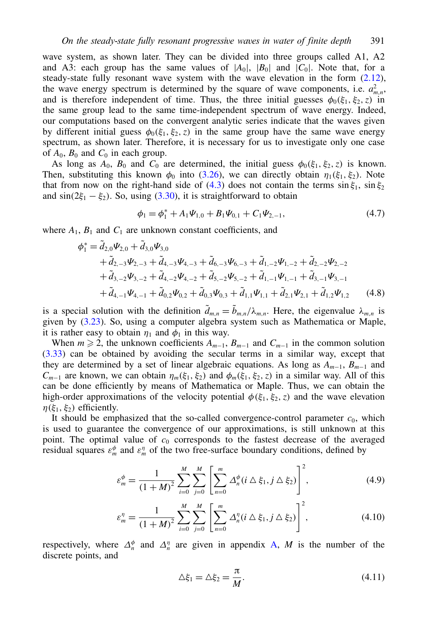wave system, as shown later. They can be divided into three groups called A1, A2 and A3: each group has the same values of  $|A_0|$ ,  $|B_0|$  and  $|C_0|$ . Note that, for a steady-state fully resonant wave system with the wave elevation in the form (2.12), the wave energy spectrum is determined by the square of wave components, i.e.  $a_{m,n}^2$ , and is therefore independent of time. Thus, the three initial guesses  $\phi_0(\xi_1, \xi_2, z)$  in the same group lead to the same time-independent spectrum of wave energy. Indeed, our computations based on the convergent analytic series indicate that the waves given by different initial guess  $\phi_0(\xi_1, \xi_2, z)$  in the same group have the same wave energy spectrum, as shown later. Therefore, it is necessary for us to investigate only one case of  $A_0$ ,  $B_0$  and  $C_0$  in each group.

As long as  $A_0$ ,  $B_0$  and  $C_0$  are determined, the initial guess  $\phi_0(\xi_1, \xi_2, z)$  is known. Then, substituting this known  $\phi_0$  into (3.26), we can directly obtain  $\eta_1(\xi_1, \xi_2)$ . Note that from now on the right-hand side of (4.3) does not contain the terms  $\sin \xi_1$ ,  $\sin \xi_2$ and  $\sin(2\xi_1 - \xi_2)$ . So, using (3.30), it is straightforward to obtain

$$
\phi_1 = \phi_1^* + A_1 \Psi_{1,0} + B_1 \Psi_{0,1} + C_1 \Psi_{2,-1}, \tag{4.7}
$$

where  $A_1$ ,  $B_1$  and  $C_1$  are unknown constant coefficients, and

$$
\phi_1^* = d_{2,0}\Psi_{2,0} + d_{3,0}\Psi_{3,0} \n+ \tilde{d}_{2,-3}\Psi_{2,-3} + \tilde{d}_{4,-3}\Psi_{4,-3} + \tilde{d}_{6,-3}\Psi_{6,-3} + \tilde{d}_{1,-2}\Psi_{1,-2} + \tilde{d}_{2,-2}\Psi_{2,-2} \n+ \tilde{d}_{3,-2}\Psi_{3,-2} + \tilde{d}_{4,-2}\Psi_{4,-2} + \tilde{d}_{5,-2}\Psi_{5,-2} + \tilde{d}_{1,-1}\Psi_{1,-1} + \tilde{d}_{3,-1}\Psi_{3,-1} \n+ \tilde{d}_{4,-1}\Psi_{4,-1} + \tilde{d}_{0,2}\Psi_{0,2} + \tilde{d}_{0,3}\Psi_{0,3} + \tilde{d}_{1,1}\Psi_{1,1} + \tilde{d}_{2,1}\Psi_{2,1} + \tilde{d}_{1,2}\Psi_{1,2}
$$
\n(4.8)

is a special solution with the definition  $d_{m,n} = b_{m,n}/\lambda_{m,n}$ . Here, the eigenvalue  $\lambda_{m,n}$  is given by (3.23). So, using a computer algebra system such as Mathematica or Maple, it is rather easy to obtain  $\eta_1$  and  $\phi_1$  in this way.

When  $m \geq 2$ , the unknown coefficients  $A_{m-1}$ ,  $B_{m-1}$  and  $C_{m-1}$  in the common solution (3.33) can be obtained by avoiding the secular terms in a similar way, except that they are determined by a set of linear algebraic equations. As long as  $A_{m-1}$ ,  $B_{m-1}$  and  $C_{m-1}$  are known, we can obtain  $\eta_m(\xi_1, \xi_2)$  and  $\phi_m(\xi_1, \xi_2, z)$  in a similar way. All of this can be done efficiently by means of Mathematica or Maple. Thus, we can obtain the high-order approximations of the velocity potential  $\phi(\xi_1, \xi_2, z)$  and the wave elevation  $\eta(\xi_1, \xi_2)$  efficiently.

It should be emphasized that the so-called convergence-control parameter  $c_0$ , which is used to guarantee the convergence of our approximations, is still unknown at this point. The optimal value of  $c_0$  corresponds to the fastest decrease of the averaged residual squares  $\varepsilon_m^{\phi}$  and  $\varepsilon_m^{\eta}$  of the two free-surface boundary conditions, defined by

$$
\varepsilon_m^{\phi} = \frac{1}{(1+M)^2} \sum_{i=0}^{M} \sum_{j=0}^{M} \left[ \sum_{n=0}^{m} \Delta_n^{\phi}(i \bigtriangleup \xi_1, j \bigtriangleup \xi_2) \right]^2, \tag{4.9}
$$

$$
\varepsilon_m^{\eta} = \frac{1}{(1+M)^2} \sum_{i=0}^{M} \sum_{j=0}^{M} \left[ \sum_{n=0}^{m} \Delta_n^{\eta} (i \bigtriangleup \xi_1, j \bigtriangleup \xi_2) \right]^2, \tag{4.10}
$$

respectively, where  $\Delta_n^{\phi}$  and  $\Delta_n^{\eta}$  are given in appendix A, M is the number of the discrete points, and

$$
\Delta \xi_1 = \Delta \xi_2 = \frac{\pi}{M}.\tag{4.11}
$$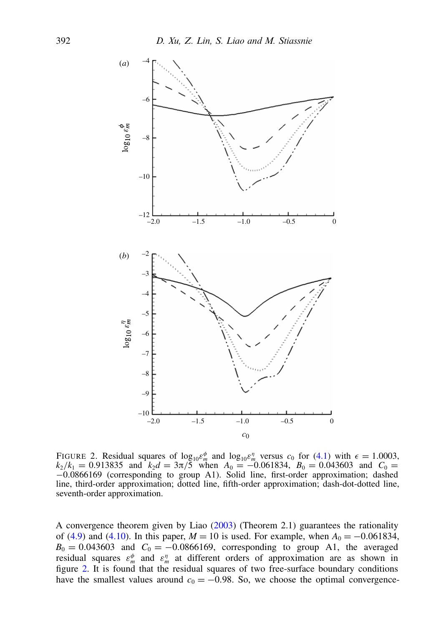

FIGURE 2. Residual squares of  $\log_{10} \varepsilon_m^{\phi}$  and  $\log_{10} \varepsilon_m^{\eta}$  versus  $c_0$  for (4.1) with  $\epsilon = 1.0003$ ,  $k_2/k_1 = 0.913835$  and  $k_2d = 3\pi/5$  when  $A_0 = -0.061834$ ,  $B_0 = 0.043603$  and  $C_0 =$ −0.0866169 (corresponding to group A1). Solid line, first-order approximation; dashed line, third-order approximation; dotted line, fifth-order approximation; dash-dot-dotted line, seventh-order approximation.

A convergence theorem given by Liao (2003) (Theorem 2.1) guarantees the rationality of (4.9) and (4.10). In this paper,  $M = 10$  is used. For example, when  $A_0 = -0.061834$ ,  $B_0 = 0.043603$  and  $C_0 = -0.0866169$ , corresponding to group A1, the averaged residual squares  $\varepsilon_m^{\phi}$  and  $\varepsilon_m^{\eta}$  at different orders of approximation are as shown in figure 2. It is found that the residual squares of two free-surface boundary conditions have the smallest values around  $c_0 = -0.98$ . So, we choose the optimal convergence-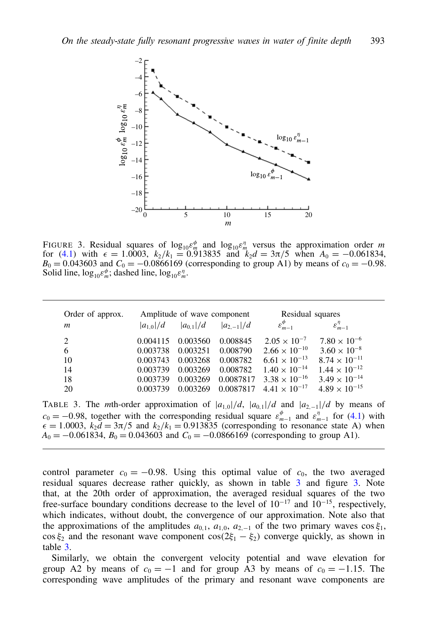

FIGURE 3. Residual squares of  $\log_{10} \epsilon_m^{\phi}$  and  $\log_{10} \epsilon_m^{\eta}$  versus the approximation order *m* for (4.1) with  $\epsilon = 1.0003$ ,  $k_2/k_1 = 0.913835$  and  $k_2d = 3\pi/5$  when  $A_0 = -0.061834$ ,  $B_0 = 0.043603$  and  $C_0 = -0.0866169$  (corresponding to group A1) by means of  $c_0 = -0.98$ . Solid line,  $log_{10} \varepsilon_m^{\phi}$ ; dashed line,  $log_{10} \varepsilon_m^{\eta}$ .

| Order of approx. |               | Amplitude of wave component  |          | Residual squares                            |                            |
|------------------|---------------|------------------------------|----------|---------------------------------------------|----------------------------|
| m                | $ a_{1,0} /d$ | $ a_{0,1} /d$ $ a_{2,-1} /d$ |          | $\varepsilon_{m-1}^{\phi}$                  | $\varepsilon_{m-1}^{\eta}$ |
| 2                | 0.004115      | 0.003560                     | 0.008845 | $2.05 \times 10^{-7}$                       | $7.80 \times 10^{-6}$      |
| 6                | 0.003738      | 0.003251                     | 0.008790 | $2.66 \times 10^{-10}$                      | $3.60 \times 10^{-8}$      |
| 10               | 0.003743      | 0.003268                     | 0.008782 | $6.61 \times 10^{-13}$                      | $8.74 \times 10^{-11}$     |
| 14               | 0.003739      | 0.003269                     | 0.008782 | $1.40 \times 10^{-14}$                      | $1.44 \times 10^{-12}$     |
| 18               | 0.003739      | 0.003269                     |          | $0.0087817$ $3.38 \times 10^{-16}$          | $3.49 \times 10^{-14}$     |
| 20               | 0.003739      | 0.003269                     |          | $0.0087817$ 4.41 $\times$ 10 <sup>-17</sup> | $4.89 \times 10^{-15}$     |

TABLE 3. The *m*th-order approximation of  $|a_{1,0}|/d$ ,  $|a_{0,1}|/d$  and  $|a_{2,-1}|/d$  by means of  $c_0 = -0.98$ , together with the corresponding residual square  $\varepsilon_{m-1}^{\phi}$  and  $\varepsilon_{m-1}^{\eta}$  for (4.1) with  $\epsilon = 1.0003$ ,  $k_2 d = 3\pi/5$  and  $k_2/k_1 = 0.913835$  (corresponding to resonance state A) when  $A_0 = -0.061834$ ,  $B_0 = 0.043603$  and  $C_0 = -0.0866169$  (corresponding to group A1).

control parameter  $c_0 = -0.98$ . Using this optimal value of  $c_0$ , the two averaged residual squares decrease rather quickly, as shown in table 3 and figure 3. Note that, at the 20th order of approximation, the averaged residual squares of the two free-surface boundary conditions decrease to the level of  $10^{-17}$  and  $10^{-15}$ , respectively, which indicates, without doubt, the convergence of our approximation. Note also that the approximations of the amplitudes  $a_{0,1}$ ,  $a_{1,0}$ ,  $a_{2,-1}$  of the two primary waves cos  $\xi_1$ , cos  $\xi_2$  and the resonant wave component cos( $2\xi_1 - \xi_2$ ) converge quickly, as shown in table 3.

Similarly, we obtain the convergent velocity potential and wave elevation for group A2 by means of  $c_0 = -1$  and for group A3 by means of  $c_0 = -1.15$ . The corresponding wave amplitudes of the primary and resonant wave components are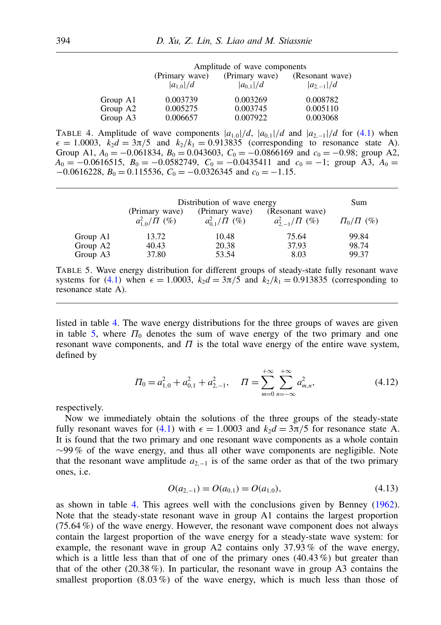|          | Amplitude of wave components    |                                 |                                  |  |  |
|----------|---------------------------------|---------------------------------|----------------------------------|--|--|
|          | (Primary wave)<br>$ a_{1,0} /d$ | (Primary wave)<br>$ a_{0,1} /d$ | (Resonant wave)<br>$ a_{2-1} /d$ |  |  |
| Group A1 | 0.003739                        | 0.003269                        | 0.008782                         |  |  |
| Group A2 | 0.005275                        | 0.003745                        | 0.005110                         |  |  |
| Group A3 | 0.006657                        | 0.007922                        | 0.003068                         |  |  |

TABLE 4. Amplitude of wave components  $|a_{1,0}|/d$ ,  $|a_{0,1}|/d$  and  $|a_{2,-1}|/d$  for (4.1) when  $\epsilon = 1.0003$ ,  $k_2d = 3\pi/5$  and  $k_2/k_1 = 0.913835$  (corresponding to resonance state A). Group A1,  $A_0 = -0.061834$ ,  $B_0 = 0.043603$ ,  $C_0 = -0.0866169$  and  $c_0 = -0.98$ ; group A2,  $A_0 = -0.0616515$ ,  $B_0 = -0.0582749$ ,  $C_0 = -0.0435411$  and  $c_0 = -1$ ; group A3,  $A_0 =$  $-0.0616228$ ,  $B_0 = 0.115536$ ,  $C_0 = -0.0326345$  and  $c_0 = -1.15$ .

|          | Distribution of wave energy                                                |       |                     |                 |
|----------|----------------------------------------------------------------------------|-------|---------------------|-----------------|
|          | (Primary wave)<br>(Resonant wave)<br>(Primary wave)<br>$a_{0.1}^2/\Pi$ (%) |       |                     |                 |
|          | $a_{1,0}^2/\Pi$ (%)                                                        |       | $a_{2-1}^2/\Pi$ (%) | $\Pi_0/\Pi$ (%) |
| Group A1 | 13.72                                                                      | 10.48 | 75.64               | 99.84           |
| Group A2 | 40.43                                                                      | 20.38 | 37.93               | 98.74           |
| Group A3 | 37.80                                                                      | 53.54 | 8.03                | 99.37           |

TABLE 5. Wave energy distribution for different groups of steady-state fully resonant wave systems for (4.1) when  $\epsilon = 1.0003$ ,  $k_2 d = 3\pi/5$  and  $k_2/k_1 = 0.913835$  (corresponding to resonance state A).

listed in table 4. The wave energy distributions for the three groups of waves are given in table 5, where  $\Pi_0$  denotes the sum of wave energy of the two primary and one resonant wave components, and  $\Pi$  is the total wave energy of the entire wave system, defined by

$$
\Pi_0 = a_{1,0}^2 + a_{0,1}^2 + a_{2,-1}^2, \quad \Pi = \sum_{m=0}^{+\infty} \sum_{n=-\infty}^{+\infty} a_{m,n}^2,
$$
\n(4.12)

respectively.

Now we immediately obtain the solutions of the three groups of the steady-state fully resonant waves for (4.1) with  $\epsilon = 1.0003$  and  $k_2d = 3\pi/5$  for resonance state A. It is found that the two primary and one resonant wave components as a whole contain ∼99 % of the wave energy, and thus all other wave components are negligible. Note that the resonant wave amplitude  $a_{2-1}$  is of the same order as that of the two primary ones, i.e.

$$
O(a_{2,-1}) = O(a_{0,1}) = O(a_{1,0}),
$$
\n(4.13)

as shown in table 4. This agrees well with the conclusions given by Benney (1962). Note that the steady-state resonant wave in group A1 contains the largest proportion (75.64 %) of the wave energy. However, the resonant wave component does not always contain the largest proportion of the wave energy for a steady-state wave system: for example, the resonant wave in group A2 contains only 37.93 % of the wave energy, which is a little less than that of one of the primary ones (40.43%) but greater than that of the other  $(20.38 \%)$ . In particular, the resonant wave in group A3 contains the smallest proportion  $(8.03\%)$  of the wave energy, which is much less than those of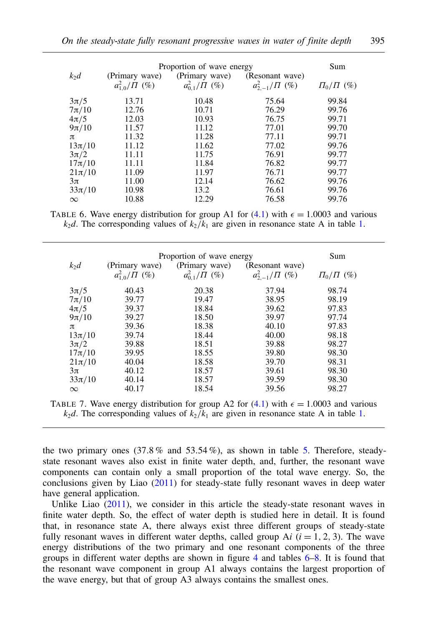|            |                                       | Proportion of wave energy             |                                        | Sum             |
|------------|---------------------------------------|---------------------------------------|----------------------------------------|-----------------|
| $k_2d$     | (Primary wave)<br>$a_{1,0}^2/\Pi$ (%) | (Primary wave)<br>$a_{0.1}^2/\Pi$ (%) | (Resonant wave)<br>$a_{2-1}^2/\Pi$ (%) | $\Pi_0/\Pi$ (%) |
| $3\pi/5$   | 13.71                                 | 10.48                                 | 75.64                                  | 99.84           |
| $7\pi/10$  | 12.76                                 | 10.71                                 | 76.29                                  | 99.76           |
| $4\pi/5$   | 12.03                                 | 10.93                                 | 76.75                                  | 99.71           |
| $9\pi/10$  | 11.57                                 | 11.12                                 | 77.01                                  | 99.70           |
| π          | 11.32                                 | 11.28                                 | 77.11                                  | 99.71           |
| $13\pi/10$ | 11.12                                 | 11.62                                 | 77.02                                  | 99.76           |
| $3\pi/2$   | 11.11                                 | 11.75                                 | 76.91                                  | 99.77           |
| $17\pi/10$ | 11.11                                 | 11.84                                 | 76.82                                  | 99.77           |
| $21\pi/10$ | 11.09                                 | 11.97                                 | 76.71                                  | 99.77           |
| $3\pi$     | 11.00                                 | 12.14                                 | 76.62                                  | 99.76           |
| $33\pi/10$ | 10.98                                 | 13.2                                  | 76.61                                  | 99.76           |
| $\infty$   | 10.88                                 | 12.29                                 | 76.58                                  | 99.76           |

TABLE 6. Wave energy distribution for group A1 for (4.1) with  $\epsilon = 1.0003$  and various  $k_2d$ . The corresponding values of  $k_2/k_1$  are given in resonance state A in table 1.

|            |                     | Proportion of wave energy      |                     | Sum             |
|------------|---------------------|--------------------------------|---------------------|-----------------|
| $k_2d$     | (Primary wave)      | (Primary wave)                 | (Resonant wave)     |                 |
|            | $a_{1,0}^2/\Pi$ (%) | $a_{0.1}^2/\overline{\Pi}$ (%) | $a_{2-1}^2/\Pi$ (%) | $\Pi_0/\Pi$ (%) |
| $3\pi/5$   | 40.43               | 20.38                          | 37.94               | 98.74           |
| $7\pi/10$  | 39.77               | 19.47                          | 38.95               | 98.19           |
| $4\pi/5$   | 39.37               | 18.84                          | 39.62               | 97.83           |
| $9\pi/10$  | 39.27               | 18.50                          | 39.97               | 97.74           |
| π          | 39.36               | 18.38                          | 40.10               | 97.83           |
| $13\pi/10$ | 39.74               | 18.44                          | 40.00               | 98.18           |
| $3\pi/2$   | 39.88               | 18.51                          | 39.88               | 98.27           |
| $17\pi/10$ | 39.95               | 18.55                          | 39.80               | 98.30           |
| $21\pi/10$ | 40.04               | 18.58                          | 39.70               | 98.31           |
| $3\pi$     | 40.12               | 18.57                          | 39.61               | 98.30           |
| $33\pi/10$ | 40.14               | 18.57                          | 39.59               | 98.30           |
| $\infty$   | 40.17               | 18.54                          | 39.56               | 98.27           |

TABLE 7. Wave energy distribution for group A2 for (4.1) with  $\epsilon = 1.0003$  and various  $k_2d$ . The corresponding values of  $k_2/k_1$  are given in resonance state A in table 1.

the two primary ones  $(37.8\%$  and  $53.54\%)$ , as shown in table 5. Therefore, steadystate resonant waves also exist in finite water depth, and, further, the resonant wave components can contain only a small proportion of the total wave energy. So, the conclusions given by Liao (2011) for steady-state fully resonant waves in deep water have general application.

Unlike Liao  $(2011)$ , we consider in this article the steady-state resonant waves in finite water depth. So, the effect of water depth is studied here in detail. It is found that, in resonance state A, there always exist three different groups of steady-state fully resonant waves in different water depths, called group  $Ai$   $(i = 1, 2, 3)$ . The wave energy distributions of the two primary and one resonant components of the three groups in different water depths are shown in figure  $\frac{4}{1}$  and tables  $\overline{6}$ –8. It is found that the resonant wave component in group A1 always contains the largest proportion of the wave energy, but that of group A3 always contains the smallest ones.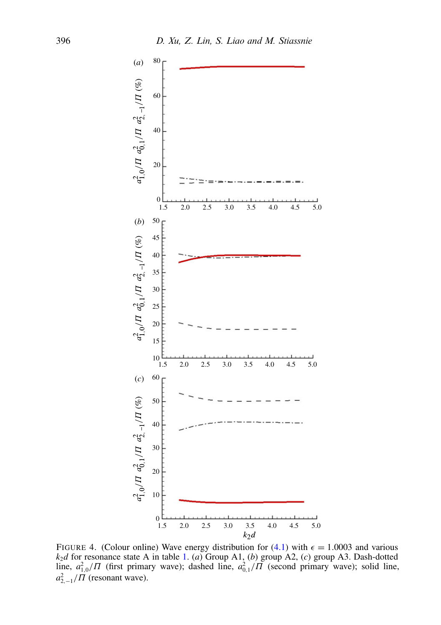

FIGURE 4. (Colour online) Wave energy distribution for (4.1) with  $\epsilon = 1.0003$  and various *k*2*d* for resonance state A in table 1. (*a*) Group A1, (*b*) group A2, (*c*) group A3. Dash-dotted line,  $a_{1,0}^2/\Pi$  (first primary wave); dashed line,  $a_{0,1}^2/\Pi$  (second primary wave); solid line,  $a_{2,-1}^2/\Pi$  (resonant wave).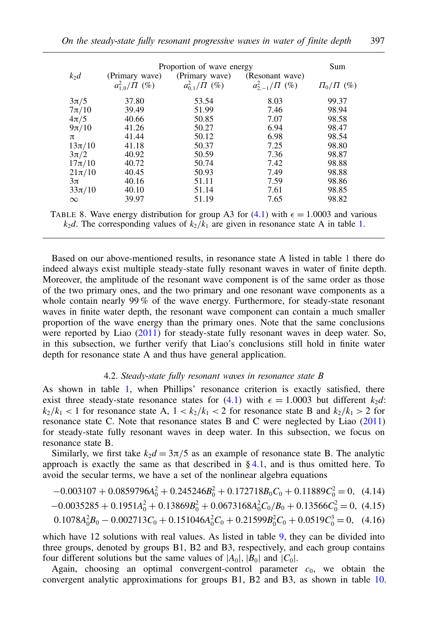|            |                     | Proportion of wave energy |                     | Sum             |
|------------|---------------------|---------------------------|---------------------|-----------------|
| $k_2d$     | (Primary wave)      | (Primary wave)            | (Resonant wave)     |                 |
|            | $a_{1,0}^2/\Pi$ (%) | $a_{0.1}^2/\Pi$ (%)       | $a_{2-1}^2/\Pi$ (%) | $\Pi_0/\Pi$ (%) |
| $3\pi/5$   | 37.80               | 53.54                     | 8.03                | 99.37           |
| $7\pi/10$  | 39.49               | 51.99                     | 7.46                | 98.94           |
| $4\pi/5$   | 40.66               | 50.85                     | 7.07                | 98.58           |
| $9\pi/10$  | 41.26               | 50.27                     | 6.94                | 98.47           |
| π          | 41.44               | 50.12                     | 6.98                | 98.54           |
| $13\pi/10$ | 41.18               | 50.37                     | 7.25                | 98.80           |
| $3\pi/2$   | 40.92               | 50.59                     | 7.36                | 98.87           |
| $17\pi/10$ | 40.72               | 50.74                     | 7.42                | 98.88           |
| $21\pi/10$ | 40.45               | 50.93                     | 7.49                | 98.88           |
| $3\pi$     | 40.16               | 51.11                     | 7.59                | 98.86           |
| $33\pi/10$ | 40.10               | 51.14                     | 7.61                | 98.85           |
| $\infty$   | 39.97               | 51.19                     | 7.65                | 98.82           |

| TABLE 8. Wave energy distribution for group A3 for (4.1) with $\epsilon = 1.0003$ and various |  |  |  |
|-----------------------------------------------------------------------------------------------|--|--|--|
| $k_2d$ . The corresponding values of $k_2/k_1$ are given in resonance state A in table 1.     |  |  |  |

Based on our above-mentioned results, in resonance state A listed in table 1 there do indeed always exist multiple steady-state fully resonant waves in water of finite depth. Moreover, the amplitude of the resonant wave component is of the same order as those of the two primary ones, and the two primary and one resonant wave components as a whole contain nearly 99% of the wave energy. Furthermore, for steady-state resonant waves in finite water depth, the resonant wave component can contain a much smaller proportion of the wave energy than the primary ones. Note that the same conclusions were reported by Liao (2011) for steady-state fully resonant waves in deep water. So, in this subsection, we further verify that Liao's conclusions still hold in finite water depth for resonance state A and thus have general application.

#### 4.2. *Steady-state fully resonant waves in resonance state B*

As shown in table 1, when Phillips' resonance criterion is exactly satisfied, there exist three steady-state resonance states for (4.1) with  $\epsilon = 1.0003$  but different *k*<sub>2</sub>*d*:  $k_2/k_1 < 1$  for resonance state A,  $1 < k_2/k_1 < 2$  for resonance state B and  $k_2/k_1 > 2$  for resonance state C. Note that resonance states B and C were neglected by Liao  $(2011)$ for steady-state fully resonant waves in deep water. In this subsection, we focus on resonance state B.

Similarly, we first take  $k_2d = 3\pi/5$  as an example of resonance state B. The analytic approach is exactly the same as that described in § 4.1, and is thus omitted here. To avoid the secular terms, we have a set of the nonlinear algebra equations

$$
-0.003107 + 0.0859796A_0^2 + 0.245246B_0^2 + 0.172718B_0C_0 + 0.11889C_0^2 = 0, \quad (4.14)
$$
  

$$
-0.0035285 + 0.1951A_0^2 + 0.13869B_0^2 + 0.0673168A_0^2C_0/B_0 + 0.13566C_0^2 = 0, \quad (4.15)
$$

$$
0.1078A_0^2B_0 - 0.002713C_0 + 0.151046A_0^2C_0 + 0.21599B_0^2C_0 + 0.0519C_0^3 = 0, \quad (4.16)
$$

which have 12 solutions with real values. As listed in table 9, they can be divided into three groups, denoted by groups B1, B2 and B3, respectively, and each group contains four different solutions but the same values of  $|A_0|$ ,  $|B_0|$  and  $|C_0|$ .

Again, choosing an optimal convergent-control parameter  $c_0$ , we obtain the convergent analytic approximations for groups B1, B2 and B3, as shown in table 10.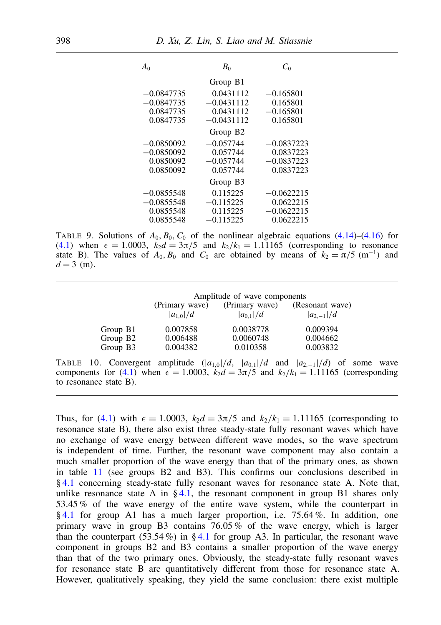| A <sub>0</sub>                                         | $B_0$                                                          | $C_0$                                                  |
|--------------------------------------------------------|----------------------------------------------------------------|--------------------------------------------------------|
|                                                        | Group B1                                                       |                                                        |
| $-0.0847735$<br>$-0.0847735$<br>0.0847735<br>0.0847735 | 0.0431112<br>$-0.0431112$<br>0.0431112<br>$-0.0431112$         | $-0.165801$<br>0.165801<br>$-0.165801$<br>0.165801     |
|                                                        | Group B <sub>2</sub>                                           |                                                        |
| $-0.0850092$<br>$-0.0850092$<br>0.0850092<br>0.0850092 | $-0.057744$<br>0.057744<br>-0.057744<br>0.057744               | $-0.0837223$<br>0.0837223<br>$-0.0837223$<br>0.0837223 |
| $-0.0855548$<br>$-0.0855548$<br>0.0855548<br>0.0855548 | Group B3<br>0.115225<br>$-0.115225$<br>0.115225<br>$-0.115225$ | $-0.0622215$<br>0.0622215<br>$-0.0622215$<br>0.0622215 |

TABLE 9. Solutions of  $A_0$ ,  $B_0$ ,  $C_0$  of the nonlinear algebraic equations (4.14)–(4.16) for (4.1) when  $\epsilon = 1.0003$ ,  $k_2 d = 3\pi/5$  and  $k_2/k_1 = 1.11165$  (corresponding to resonance state B). The values of  $A_0$ ,  $B_0$  and  $C_0$  are obtained by means of  $k_2 = \pi/5$  (m<sup>-1</sup>) and  $d = 3$  (m).

|                      | Amplitude of wave components |                |                 |  |
|----------------------|------------------------------|----------------|-----------------|--|
|                      | (Primary wave)               | (Primary wave) | (Resonant wave) |  |
|                      | $ a_{1,0} /d$                | $ a_{0.1} /d$  | $ a_{2,-1} /d$  |  |
| Group B1             | 0.007858                     | 0.0038778      | 0.009394        |  |
| Group B <sub>2</sub> | 0.006488                     | 0.0060748      | 0.004662        |  |
| Group B3             | 0.004382                     | 0.010358       | 0.003832        |  |

TABLE 10. Convergent amplitude  $(|a_{1,0}|/d, |a_{0,1}|/d$  and  $|a_{2,-1}|/d$  of some wave components for (4.1) when  $\epsilon = 1.0003$ ,  $k_2d = 3\pi/5$  and  $k_2/k_1 = 1.11165$  (corresponding to resonance state B).

Thus, for (4.1) with  $\epsilon = 1.0003$ ,  $k_2d = 3\pi/5$  and  $k_2/k_1 = 1.11165$  (corresponding to resonance state B), there also exist three steady-state fully resonant waves which have no exchange of wave energy between different wave modes, so the wave spectrum is independent of time. Further, the resonant wave component may also contain a much smaller proportion of the wave energy than that of the primary ones, as shown in table 11 (see groups B2 and B3). This confirms our conclusions described in § 4.1 concerning steady-state fully resonant waves for resonance state A. Note that, unlike resonance state A in  $\S 4.1$ , the resonant component in group B1 shares only 53.45 % of the wave energy of the entire wave system, while the counterpart in § 4.1 for group A1 has a much larger proportion, i.e. 75.64 %. In addition, one primary wave in group B3 contains 76.05 % of the wave energy, which is larger than the counterpart (53.54 %) in § 4.1 for group A3. In particular, the resonant wave component in groups B2 and B3 contains a smaller proportion of the wave energy than that of the two primary ones. Obviously, the steady-state fully resonant waves for resonance state B are quantitatively different from those for resonance state A. However, qualitatively speaking, they yield the same conclusion: there exist multiple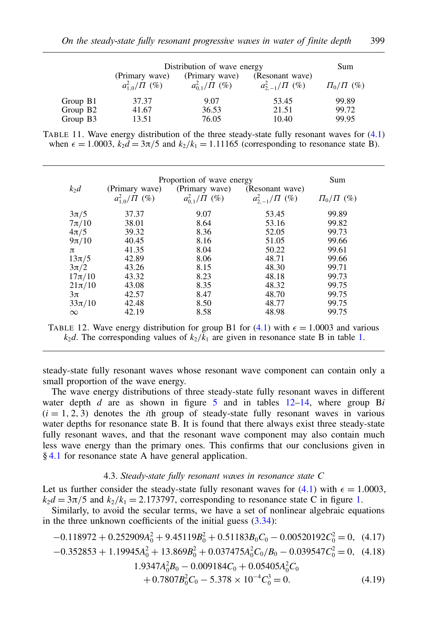|                      | Distribution of wave energy                         |                     |                     |                 |
|----------------------|-----------------------------------------------------|---------------------|---------------------|-----------------|
|                      | (Primary wave)<br>(Resonant wave)<br>(Primary wave) |                     |                     |                 |
|                      | $a_{1,0}^2/\Pi$ (%)                                 | $a_{0.1}^2/\Pi$ (%) | $a_{2-1}^2/\Pi$ (%) | $\Pi_0/\Pi$ (%) |
| Group B1             | 37.37                                               | 9.07                | 53.45               | 99.89           |
| Group B <sub>2</sub> | 41.67                                               | 36.53               | 21.51               | 99.72           |
| Group B3             | 13.51                                               | 76.05               | 10.40               | 99.95           |

TABLE 11. Wave energy distribution of the three steady-state fully resonant waves for (4.1) when  $\epsilon = 1.0003$ ,  $k_2d = 3\pi/5$  and  $k_2/k_1 = 1.11165$  (corresponding to resonance state B).

|            |                                       | Proportion of wave energy             |                                        | Sum             |
|------------|---------------------------------------|---------------------------------------|----------------------------------------|-----------------|
| $k_2d$     | (Primary wave)<br>$a_{1.0}^2/\Pi$ (%) | (Primary wave)<br>$a_{0.1}^2/\Pi$ (%) | (Resonant wave)<br>$a_{2-1}^2/\Pi$ (%) | $\Pi_0/\Pi$ (%) |
| $3\pi/5$   | 37.37                                 | 9.07                                  | 53.45                                  | 99.89           |
| $7\pi/10$  | 38.01                                 | 8.64                                  | 53.16                                  | 99.82           |
| $4\pi/5$   | 39.32                                 | 8.36                                  | 52.05                                  | 99.73           |
| $9\pi/10$  | 40.45                                 | 8.16                                  | 51.05                                  | 99.66           |
| π          | 41.35                                 | 8.04                                  | 50.22                                  | 99.61           |
| $13\pi/5$  | 42.89                                 | 8.06                                  | 48.71                                  | 99.66           |
| $3\pi/2$   | 43.26                                 | 8.15                                  | 48.30                                  | 99.71           |
| $17\pi/10$ | 43.32                                 | 8.23                                  | 48.18                                  | 99.73           |
| $21\pi/10$ | 43.08                                 | 8.35                                  | 48.32                                  | 99.75           |
| $3\pi$     | 42.57                                 | 8.47                                  | 48.70                                  | 99.75           |
| $33\pi/10$ | 42.48                                 | 8.50                                  | 48.77                                  | 99.75           |
| $\infty$   | 42.19                                 | 8.58                                  | 48.98                                  | 99.75           |

TABLE 12. Wave energy distribution for group B1 for (4.1) with  $\epsilon = 1.0003$  and various  $k_2d$ . The corresponding values of  $k_2/k_1$  are given in resonance state B in table 1.

steady-state fully resonant waves whose resonant wave component can contain only a small proportion of the wave energy.

The wave energy distributions of three steady-state fully resonant waves in different water depth *d* are as shown in figure 5 and in tables 12–14, where group B*i*  $(i = 1, 2, 3)$  denotes the *i*th group of steady-state fully resonant waves in various water depths for resonance state B. It is found that there always exist three steady-state fully resonant waves, and that the resonant wave component may also contain much less wave energy than the primary ones. This confirms that our conclusions given in § 4.1 for resonance state A have general application.

#### 4.3. *Steady-state fully resonant waves in resonance state C*

Let us further consider the steady-state fully resonant waves for (4.1) with  $\epsilon = 1.0003$ ,  $k_2d = 3\pi/5$  and  $k_2/k_1 = 2.173797$ , corresponding to resonance state C in figure 1.

Similarly, to avoid the secular terms, we have a set of nonlinear algebraic equations in the three unknown coefficients of the initial guess  $(3.34)$ :

$$
-0.118972 + 0.252909A_0^2 + 9.45119B_0^2 + 0.51183B_0C_0 - 0.00520192C_0^2 = 0, \tag{4.17}
$$

$$
-0.352853 + 1.19945A_0^2 + 13.869B_0^2 + 0.037475A_0^2C_0/B_0 - 0.039547C_0^2 = 0, \tag{4.18}
$$

$$
1.9347A_0^2B_0 - 0.009184C_0 + 0.05405A_0^2C_0
$$
  
+ 0.7807B\_0^2C\_0 - 5.378 × 10<sup>-4</sup>C\_0<sup>3</sup> = 0. (4.19)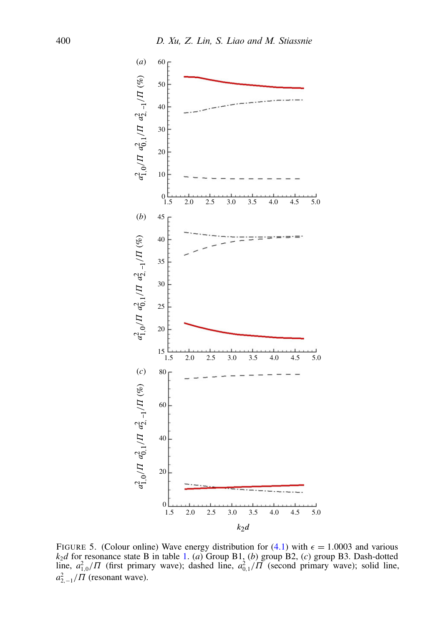

FIGURE 5. (Colour online) Wave energy distribution for (4.1) with  $\epsilon = 1.0003$  and various *k*2*d* for resonance state B in table 1. (*a*) Group B1, (*b*) group B2, (*c*) group B3. Dash-dotted line,  $a_{1,0}^2/\Pi$  (first primary wave); dashed line,  $a_{0,1}^2/\Pi$  (second primary wave); solid line,  $a_{2,-1}^2/\Pi$  (resonant wave).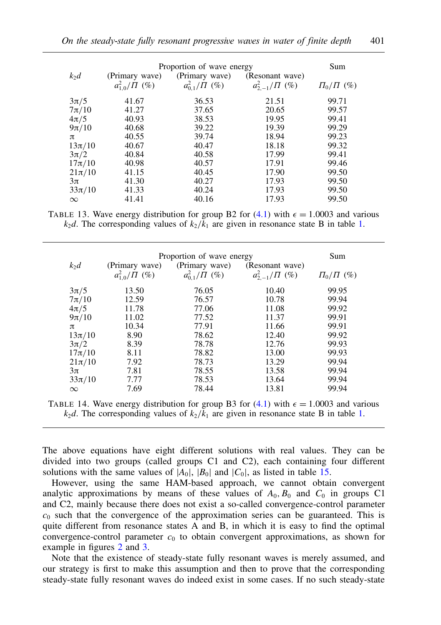|            |                                       | Proportion of wave energy             |                                        | Sum             |
|------------|---------------------------------------|---------------------------------------|----------------------------------------|-----------------|
| $k_2d$     | (Primary wave)<br>$a_{1,0}^2/\Pi$ (%) | (Primary wave)<br>$a_{0.1}^2/\Pi$ (%) | (Resonant wave)<br>$a_{2-1}^2/\Pi$ (%) | $\Pi_0/\Pi$ (%) |
| $3\pi/5$   | 41.67                                 | 36.53                                 | 21.51                                  | 99.71           |
| $7\pi/10$  | 41.27                                 | 37.65                                 | 20.65                                  | 99.57           |
| $4\pi/5$   | 40.93                                 | 38.53                                 | 19.95                                  | 99.41           |
| $9\pi/10$  | 40.68                                 | 39.22                                 | 19.39                                  | 99.29           |
| π          | 40.55                                 | 39.74                                 | 18.94                                  | 99.23           |
| $13\pi/10$ | 40.67                                 | 40.47                                 | 18.18                                  | 99.32           |
| $3\pi/2$   | 40.84                                 | 40.58                                 | 17.99                                  | 99.41           |
| $17\pi/10$ | 40.98                                 | 40.57                                 | 17.91                                  | 99.46           |
| $21\pi/10$ | 41.15                                 | 40.45                                 | 17.90                                  | 99.50           |
| $3\pi$     | 41.30                                 | 40.27                                 | 17.93                                  | 99.50           |
| $33\pi/10$ | 41.33                                 | 40.24                                 | 17.93                                  | 99.50           |
| $\infty$   | 41.41                                 | 40.16                                 | 17.93                                  | 99.50           |

TABLE 13. Wave energy distribution for group B2 for (4.1) with  $\epsilon = 1.0003$  and various  $k_2d$ . The corresponding values of  $k_2/k_1$  are given in resonance state B in table 1.

|            |                     | Proportion of wave energy |                     | Sum             |
|------------|---------------------|---------------------------|---------------------|-----------------|
| $k_2d$     | (Primary wave)      | (Primary wave)            | (Resonant wave)     |                 |
|            | $a_{1.0}^2/\Pi$ (%) | $a_{0.1}^2/\Pi$ (%)       | $a_{2-1}^2/\Pi$ (%) | $\Pi_0/\Pi$ (%) |
| $3\pi/5$   | 13.50               | 76.05                     | 10.40               | 99.95           |
| $7\pi/10$  | 12.59               | 76.57                     | 10.78               | 99.94           |
| $4\pi/5$   | 11.78               | 77.06                     | 11.08               | 99.92           |
| $9\pi/10$  | 11.02               | 77.52                     | 11.37               | 99.91           |
| π          | 10.34               | 77.91                     | 11.66               | 99.91           |
| $13\pi/10$ | 8.90                | 78.62                     | 12.40               | 99.92           |
| $3\pi/2$   | 8.39                | 78.78                     | 12.76               | 99.93           |
| $17\pi/10$ | 8.11                | 78.82                     | 13.00               | 99.93           |
| $21\pi/10$ | 7.92                | 78.73                     | 13.29               | 99.94           |
| $3\pi$     | 7.81                | 78.55                     | 13.58               | 99.94           |
| $33\pi/10$ | 7.77                | 78.53                     | 13.64               | 99.94           |
| $\infty$   | 7.69                | 78.44                     | 13.81               | 99.94           |

TABLE 14. Wave energy distribution for group B3 for (4.1) with  $\epsilon = 1.0003$  and various  $k_2d$ . The corresponding values of  $k_2/k_1$  are given in resonance state B in table 1.

The above equations have eight different solutions with real values. They can be divided into two groups (called groups C1 and C2), each containing four different solutions with the same values of  $|A_0|$ ,  $|B_0|$  and  $|C_0|$ , as listed in table 15.

However, using the same HAM-based approach, we cannot obtain convergent analytic approximations by means of these values of  $A_0$ ,  $B_0$  and  $C_0$  in groups C1 and C2, mainly because there does not exist a so-called convergence-control parameter  $c<sub>0</sub>$  such that the convergence of the approximation series can be guaranteed. This is quite different from resonance states A and B, in which it is easy to find the optimal convergence-control parameter  $c_0$  to obtain convergent approximations, as shown for example in figures 2 and 3.

Note that the existence of steady-state fully resonant waves is merely assumed, and our strategy is first to make this assumption and then to prove that the corresponding steady-state fully resonant waves do indeed exist in some cases. If no such steady-state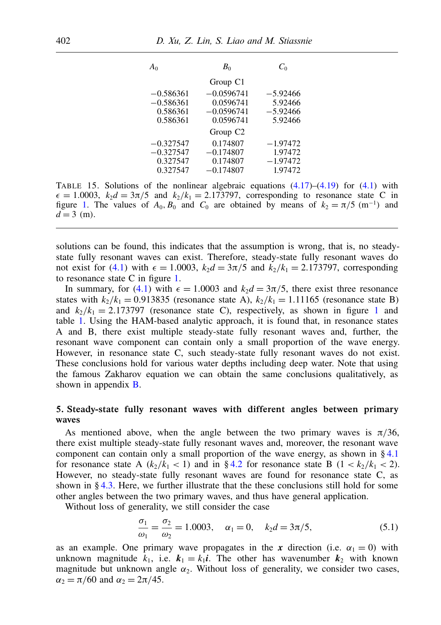| $A_0$                                              | $B_0$                                                  | $C_0$                                          |
|----------------------------------------------------|--------------------------------------------------------|------------------------------------------------|
|                                                    | Group C1                                               |                                                |
| $-0.586361$<br>$-0.586361$<br>0.586361<br>0.586361 | $-0.0596741$<br>0.0596741<br>$-0.0596741$<br>0.0596741 | $-5.92466$<br>5.92466<br>$-5.92466$<br>5.92466 |
|                                                    | Group C <sub>2</sub>                                   |                                                |
| $-0.327547$<br>$-0.327547$<br>0.327547<br>0.327547 | 0.174807<br>$-0.174807$<br>0.174807<br>$-0.174807$     | $-1.97472$<br>1.97472<br>$-1.97472$<br>1.97472 |

TABLE 15. Solutions of the nonlinear algebraic equations  $(4.17)$ – $(4.19)$  for  $(4.1)$  with  $\epsilon = 1.0003$ ,  $k_2d = 3\pi/5$  and  $k_2/k_1 = 2.173797$ , corresponding to resonance state C in figure 1. The values of  $A_0$ ,  $B_0$  and  $C_0$  are obtained by means of  $k_2 = \pi/5$  (m<sup>-1</sup>) and  $d = 3$  (m).

solutions can be found, this indicates that the assumption is wrong, that is, no steadystate fully resonant waves can exist. Therefore, steady-state fully resonant waves do not exist for (4.1) with  $\epsilon = 1.0003$ ,  $k_2 d = 3\pi/5$  and  $k_2/k_1 = 2.173797$ , corresponding to resonance state C in figure 1.

In summary, for (4.1) with  $\epsilon = 1.0003$  and  $k_2d = 3\pi/5$ , there exist three resonance states with  $k_2/k_1 = 0.913835$  (resonance state A),  $k_2/k_1 = 1.11165$  (resonance state B) and  $k_2/k_1 = 2.173797$  (resonance state C), respectively, as shown in figure 1 and table 1. Using the HAM-based analytic approach, it is found that, in resonance states A and B, there exist multiple steady-state fully resonant waves and, further, the resonant wave component can contain only a small proportion of the wave energy. However, in resonance state C, such steady-state fully resonant waves do not exist. These conclusions hold for various water depths including deep water. Note that using the famous Zakharov equation we can obtain the same conclusions qualitatively, as shown in appendix B.

# 5. Steady-state fully resonant waves with different angles between primary waves

As mentioned above, when the angle between the two primary waves is  $\pi/36$ , there exist multiple steady-state fully resonant waves and, moreover, the resonant wave component can contain only a small proportion of the wave energy, as shown in § 4.1 for resonance state A  $(k_2/k_1 < 1)$  and in § 4.2 for resonance state B  $(1 - k_2/k_1 < 2)$ . However, no steady-state fully resonant waves are found for resonance state C, as shown in § 4.3. Here, we further illustrate that the these conclusions still hold for some other angles between the two primary waves, and thus have general application.

Without loss of generality, we still consider the case

$$
\frac{\sigma_1}{\omega_1} = \frac{\sigma_2}{\omega_2} = 1.0003, \quad \alpha_1 = 0, \quad k_2 d = 3\pi/5,
$$
\n(5.1)

as an example. One primary wave propagates in the *x* direction (i.e.  $\alpha_1 = 0$ ) with unknown magnitude  $\bar{k}_1$ , i.e.  $\bar{k}_1 = k_1 i$ . The other has wavenumber  $k_2$  with known magnitude but unknown angle  $\alpha_2$ . Without loss of generality, we consider two cases,  $\alpha_2 = \pi/60$  and  $\alpha_2 = 2\pi/45$ .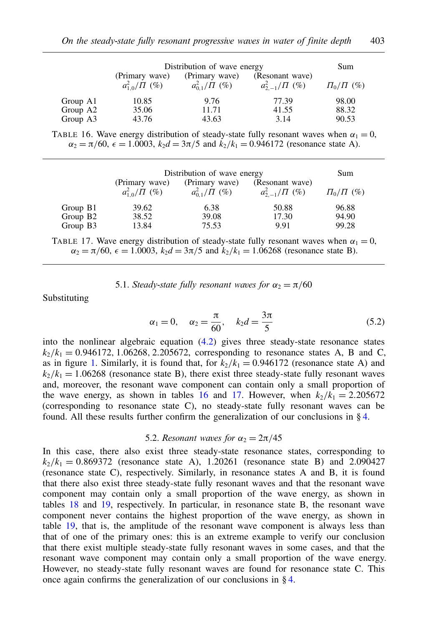|          | Distribution of wave energy |                                   |                     | Sum             |
|----------|-----------------------------|-----------------------------------|---------------------|-----------------|
|          | (Primary wave)              | (Primary wave)<br>(Resonant wave) |                     |                 |
|          | $a_{1,0}^2/\Pi$ (%)         | $a_{0}^2/\Pi$ (%)                 | $a_{2-1}^2/\Pi$ (%) | $\Pi_0/\Pi$ (%) |
| Group A1 | 10.85                       | 9.76                              | 77.39               | 98.00           |
| Group A2 | 35.06                       | 11.71                             | 41.55               | 88.32           |
| Group A3 | 43.76                       | 43.63                             | 3.14                | 90.53           |

TABLE 16. Wave energy distribution of steady-state fully resonant waves when  $\alpha_1 = 0$ ,  $\alpha_2 = \pi/60$ ,  $\epsilon = 1.0003$ ,  $k_2 d = 3\pi/5$  and  $k_2/k_1 = 0.946172$  (resonance state A).

|                      | Distribution of wave energy                         |                     |                     | Sum             |
|----------------------|-----------------------------------------------------|---------------------|---------------------|-----------------|
|                      | (Primary wave)<br>(Resonant wave)<br>(Primary wave) |                     |                     |                 |
|                      | $a_{1,0}^2/\Pi$ (%)                                 | $a_{0.1}^2/\Pi$ (%) | $a_{2-1}^2/\Pi$ (%) | $\Pi_0/\Pi$ (%) |
| Group B1             | 39.62                                               | 6.38                | 50.88               | 96.88           |
| Group B <sub>2</sub> | 38.52                                               | 39.08               | 17.30               | 94.90           |
| Group B3             | 13.84                                               | 75.53               | 9.91                | 99.28           |

TABLE 17. Wave energy distribution of steady-state fully resonant waves when  $\alpha_1 = 0$ ,  $\alpha_2 = \pi/60$ ,  $\epsilon = 1.0003$ ,  $k_2d = 3\pi/5$  and  $k_2/k_1 = 1.06268$  (resonance state B).

5.1. *Steady-state fully resonant waves for*  $\alpha_2 = \pi/60$ 

Substituting

$$
\alpha_1 = 0, \quad \alpha_2 = \frac{\pi}{60}, \quad k_2 d = \frac{3\pi}{5}
$$
\n(5.2)

into the nonlinear algebraic equation (4.2) gives three steady-state resonance states  $k_2/k_1 = 0.946172, 1.06268, 2.205672,$  corresponding to resonance states A, B and C, as in figure 1. Similarly, it is found that, for  $k_2/k_1 = 0.946172$  (resonance state A) and  $k_2/k_1 = 1.06268$  (resonance state B), there exist three steady-state fully resonant waves and, moreover, the resonant wave component can contain only a small proportion of the wave energy, as shown in tables 16 and 17. However, when  $k_2/k_1 = 2.205672$ (corresponding to resonance state C), no steady-state fully resonant waves can be found. All these results further confirm the generalization of our conclusions in § 4.

#### 5.2. *Resonant waves for*  $\alpha_2 = 2\pi/45$

In this case, there also exist three steady-state resonance states, corresponding to  $k_2/k_1 = 0.869372$  (resonance state A), 1.20261 (resonance state B) and 2.090427 (resonance state C), respectively. Similarly, in resonance states A and B, it is found that there also exist three steady-state fully resonant waves and that the resonant wave component may contain only a small proportion of the wave energy, as shown in tables 18 and 19, respectively. In particular, in resonance state B, the resonant wave component never contains the highest proportion of the wave energy, as shown in table 19, that is, the amplitude of the resonant wave component is always less than that of one of the primary ones: this is an extreme example to verify our conclusion that there exist multiple steady-state fully resonant waves in some cases, and that the resonant wave component may contain only a small proportion of the wave energy. However, no steady-state fully resonant waves are found for resonance state C. This once again confirms the generalization of our conclusions in § 4.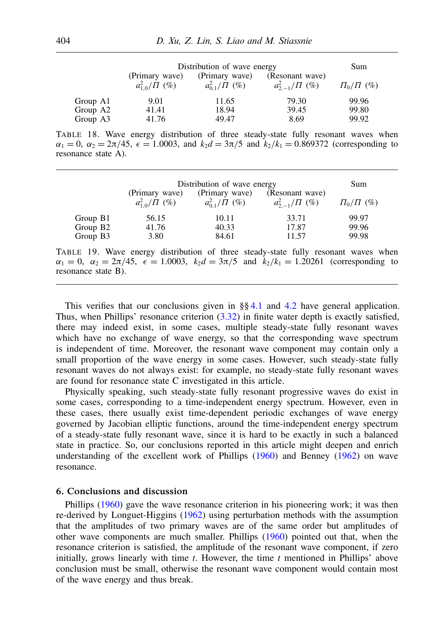|            | Distribution of wave energy                         |                   |                     | Sum             |
|------------|-----------------------------------------------------|-------------------|---------------------|-----------------|
|            | (Primary wave)<br>(Resonant wave)<br>(Primary wave) |                   |                     |                 |
|            | $a_{1,0}^2/\Pi$ (%)                                 | $a_{0}^2/\Pi$ (%) | $a_{2-1}^2/\Pi$ (%) | $\Pi_0/\Pi$ (%) |
| Group $A1$ | 9.01                                                | 11.65             | 79.30               | 99.96           |
| Group A2   | 41.41                                               | 18.94             | 39.45               | 99.80           |
| Group A3   | 41.76                                               | 49.47             | 8.69                | 99.92           |

TABLE 18. Wave energy distribution of three steady-state fully resonant waves when  $\alpha_1 = 0$ ,  $\alpha_2 = 2\pi/45$ ,  $\epsilon = 1.0003$ , and  $k_2d = 3\pi/5$  and  $k_2/k_1 = 0.869372$  (corresponding to resonance state A).

|                      | Distribution of wave energy           |                                       |                                                                                                                          | Sum             |
|----------------------|---------------------------------------|---------------------------------------|--------------------------------------------------------------------------------------------------------------------------|-----------------|
|                      | (Primary wave)<br>$a_{1,0}^2/\Pi$ (%) | (Primary wave)<br>$a_{0.1}^2/\Pi$ (%) | (Resonant wave)<br>$a_{2-1}^2/\Pi$ (%)                                                                                   | $\Pi_0/\Pi$ (%) |
| Group B1             | 56.15                                 | 10.11                                 | 33.71                                                                                                                    | 99.97           |
| Group B <sub>2</sub> | 41.76                                 | 40.33                                 | 17.87                                                                                                                    | 99.96           |
| Group B3             | 3.80                                  | 84.61                                 | 11.57                                                                                                                    | 99.98           |
|                      |                                       |                                       | TABLE 19. Wave energy distribution of three steady-state fully resonant waves when                                       |                 |
|                      |                                       |                                       | $\alpha_1 = 0$ , $\alpha_2 = 2\pi/45$ , $\epsilon = 1.0003$ , $k_2 d = 3\pi/5$ and $k_2/k_1 = 1.20261$ (corresponding to |                 |

This verifies that our conclusions given in  $\S$ § 4.1 and 4.2 have general application. Thus, when Phillips' resonance criterion (3.32) in finite water depth is exactly satisfied, there may indeed exist, in some cases, multiple steady-state fully resonant waves which have no exchange of wave energy, so that the corresponding wave spectrum is independent of time. Moreover, the resonant wave component may contain only a small proportion of the wave energy in some cases. However, such steady-state fully resonant waves do not always exist: for example, no steady-state fully resonant waves are found for resonance state C investigated in this article.

Physically speaking, such steady-state fully resonant progressive waves do exist in some cases, corresponding to a time-independent energy spectrum. However, even in these cases, there usually exist time-dependent periodic exchanges of wave energy governed by Jacobian elliptic functions, around the time-independent energy spectrum of a steady-state fully resonant wave, since it is hard to be exactly in such a balanced state in practice. So, our conclusions reported in this article might deepen and enrich understanding of the excellent work of Phillips (1960) and Benney (1962) on wave resonance.

## 6. Conclusions and discussion

Phillips (1960) gave the wave resonance criterion in his pioneering work; it was then re-derived by Longuet-Higgins (1962) using perturbation methods with the assumption that the amplitudes of two primary waves are of the same order but amplitudes of other wave components are much smaller. Phillips (1960) pointed out that, when the resonance criterion is satisfied, the amplitude of the resonant wave component, if zero initially, grows linearly with time *t*. However, the time *t* mentioned in Phillips' above conclusion must be small, otherwise the resonant wave component would contain most of the wave energy and thus break.

resonance state B).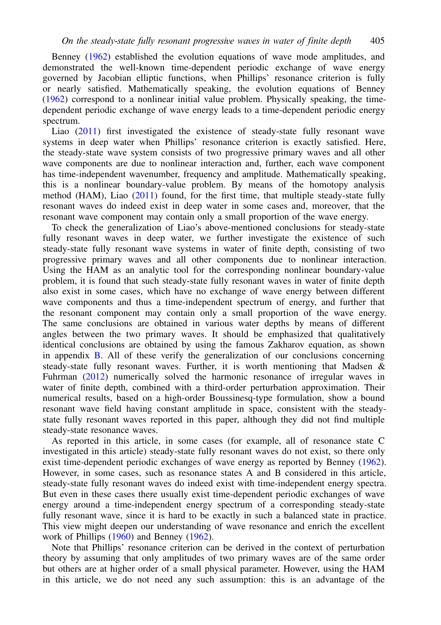Benney (1962) established the evolution equations of wave mode amplitudes, and demonstrated the well-known time-dependent periodic exchange of wave energy governed by Jacobian elliptic functions, when Phillips' resonance criterion is fully or nearly satisfied. Mathematically speaking, the evolution equations of Benney (1962) correspond to a nonlinear initial value problem. Physically speaking, the timedependent periodic exchange of wave energy leads to a time-dependent periodic energy spectrum.

Liao (2011) first investigated the existence of steady-state fully resonant wave systems in deep water when Phillips' resonance criterion is exactly satisfied. Here, the steady-state wave system consists of two progressive primary waves and all other wave components are due to nonlinear interaction and, further, each wave component has time-independent wavenumber, frequency and amplitude. Mathematically speaking, this is a nonlinear boundary-value problem. By means of the homotopy analysis method (HAM), Liao (2011) found, for the first time, that multiple steady-state fully resonant waves do indeed exist in deep water in some cases and, moreover, that the resonant wave component may contain only a small proportion of the wave energy.

To check the generalization of Liao's above-mentioned conclusions for steady-state fully resonant waves in deep water, we further investigate the existence of such steady-state fully resonant wave systems in water of finite depth, consisting of two progressive primary waves and all other components due to nonlinear interaction. Using the HAM as an analytic tool for the corresponding nonlinear boundary-value problem, it is found that such steady-state fully resonant waves in water of finite depth also exist in some cases, which have no exchange of wave energy between different wave components and thus a time-independent spectrum of energy, and further that the resonant component may contain only a small proportion of the wave energy. The same conclusions are obtained in various water depths by means of different angles between the two primary waves. It should be emphasized that qualitatively identical conclusions are obtained by using the famous Zakharov equation, as shown in appendix B. All of these verify the generalization of our conclusions concerning steady-state fully resonant waves. Further, it is worth mentioning that Madsen & Fuhrman (2012) numerically solved the harmonic resonance of irregular waves in water of finite depth, combined with a third-order perturbation approximation. Their numerical results, based on a high-order Boussinesq-type formulation, show a bound resonant wave field having constant amplitude in space, consistent with the steadystate fully resonant waves reported in this paper, although they did not find multiple steady-state resonance waves.

As reported in this article, in some cases (for example, all of resonance state C investigated in this article) steady-state fully resonant waves do not exist, so there only exist time-dependent periodic exchanges of wave energy as reported by Benney (1962). However, in some cases, such as resonance states A and B considered in this article, steady-state fully resonant waves do indeed exist with time-independent energy spectra. But even in these cases there usually exist time-dependent periodic exchanges of wave energy around a time-independent energy spectrum of a corresponding steady-state fully resonant wave, since it is hard to be exactly in such a balanced state in practice. This view might deepen our understanding of wave resonance and enrich the excellent work of Phillips (1960) and Benney (1962).

Note that Phillips' resonance criterion can be derived in the context of perturbation theory by assuming that only amplitudes of two primary waves are of the same order but others are at higher order of a small physical parameter. However, using the HAM in this article, we do not need any such assumption: this is an advantage of the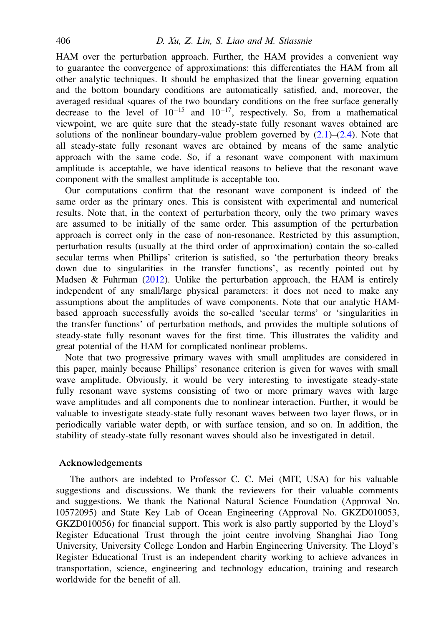HAM over the perturbation approach. Further, the HAM provides a convenient way to guarantee the convergence of approximations: this differentiates the HAM from all other analytic techniques. It should be emphasized that the linear governing equation and the bottom boundary conditions are automatically satisfied, and, moreover, the averaged residual squares of the two boundary conditions on the free surface generally decrease to the level of  $10^{-15}$  and  $10^{-17}$ , respectively. So, from a mathematical viewpoint, we are quite sure that the steady-state fully resonant waves obtained are solutions of the nonlinear boundary-value problem governed by  $(2.1)$ – $(2.4)$ . Note that all steady-state fully resonant waves are obtained by means of the same analytic approach with the same code. So, if a resonant wave component with maximum amplitude is acceptable, we have identical reasons to believe that the resonant wave component with the smallest amplitude is acceptable too.

Our computations confirm that the resonant wave component is indeed of the same order as the primary ones. This is consistent with experimental and numerical results. Note that, in the context of perturbation theory, only the two primary waves are assumed to be initially of the same order. This assumption of the perturbation approach is correct only in the case of non-resonance. Restricted by this assumption, perturbation results (usually at the third order of approximation) contain the so-called secular terms when Phillips' criterion is satisfied, so 'the perturbation theory breaks down due to singularities in the transfer functions', as recently pointed out by Madsen & Fuhrman  $(2012)$ . Unlike the perturbation approach, the HAM is entirely independent of any small/large physical parameters: it does not need to make any assumptions about the amplitudes of wave components. Note that our analytic HAMbased approach successfully avoids the so-called 'secular terms' or 'singularities in the transfer functions' of perturbation methods, and provides the multiple solutions of steady-state fully resonant waves for the first time. This illustrates the validity and great potential of the HAM for complicated nonlinear problems.

Note that two progressive primary waves with small amplitudes are considered in this paper, mainly because Phillips' resonance criterion is given for waves with small wave amplitude. Obviously, it would be very interesting to investigate steady-state fully resonant wave systems consisting of two or more primary waves with large wave amplitudes and all components due to nonlinear interaction. Further, it would be valuable to investigate steady-state fully resonant waves between two layer flows, or in periodically variable water depth, or with surface tension, and so on. In addition, the stability of steady-state fully resonant waves should also be investigated in detail.

# Acknowledgements

The authors are indebted to Professor C. C. Mei (MIT, USA) for his valuable suggestions and discussions. We thank the reviewers for their valuable comments and suggestions. We thank the National Natural Science Foundation (Approval No. 10572095) and State Key Lab of Ocean Engineering (Approval No. GKZD010053, GKZD010056) for financial support. This work is also partly supported by the Lloyd's Register Educational Trust through the joint centre involving Shanghai Jiao Tong University, University College London and Harbin Engineering University. The Lloyd's Register Educational Trust is an independent charity working to achieve advances in transportation, science, engineering and technology education, training and research worldwide for the benefit of all.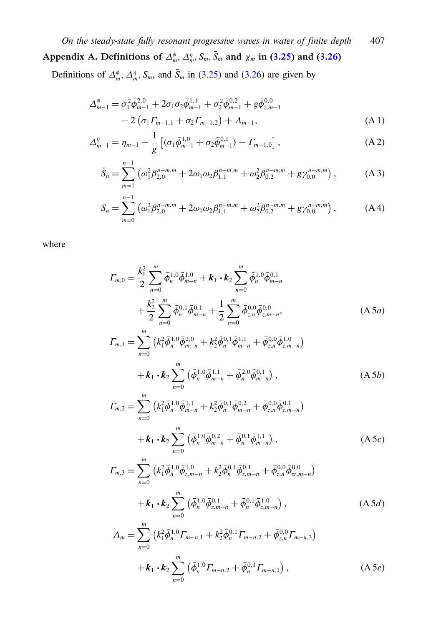# *On the steady-state fully resonant progressive waves in water of finite depth* 407 Appendix A. Definitions of  $\Delta_m^{\phi}$ ,  $\Delta_m^{\eta}$ ,  $S_m$ ,  $S_m$  and  $\chi_m$  in (3.25) and (3.26)

Definitions of  $\Delta_m^{\phi}$ ,  $\Delta_m^{\eta}$ ,  $S_m$ , and  $S_m$  in (3.25) and (3.26) are given by

$$
\Delta_{m-1}^{\phi} = \sigma_1^2 \bar{\phi}_{m-1}^{2,0} + 2\sigma_1 \sigma_2 \bar{\phi}_{m-1}^{1,1} + \sigma_2^2 \bar{\phi}_{m-1}^{0,2} + g \bar{\phi}_{z,m-1}^{0,0} \n- 2 \left( \sigma_1 \Gamma_{m-1,1} + \sigma_2 \Gamma_{m-1,2} \right) + \Lambda_{m-1},
$$
\n(A1)

$$
\Delta_{m-1}^{\eta} = \eta_{m-1} - \frac{1}{g} \left[ (\sigma_1 \bar{\phi}_{m-1}^{1,0} + \sigma_2 \bar{\phi}_{m-1}^{0,1}) - \Gamma_{m-1,0} \right],
$$
\n(A2)

$$
\bar{S}_n = \sum_{m=1}^{n-1} \left( \omega_1^2 \beta_{2,0}^{n-m,m} + 2\omega_1 \omega_2 \beta_{1,1}^{n-m,m} + \omega_2^2 \beta_{0,2}^{n-m,m} + g \gamma_{0,0}^{n-m,m} \right), \tag{A3}
$$

$$
S_n = \sum_{m=0}^{n-1} \left( \omega_1^2 \beta_{2,0}^{n-m,m} + 2\omega_1 \omega_2 \beta_{1,1}^{n-m,m} + \omega_2^2 \beta_{0,2}^{n-m,m} + g \gamma_{0,0}^{n-m,m} \right), \tag{A4}
$$

where

$$
\Gamma_{m,0} = \frac{k_1^2}{2} \sum_{n=0}^m \bar{\phi}_n^{1,0} \bar{\phi}_{m-n}^{1,0} + \mathbf{k}_1 \cdot \mathbf{k}_2 \sum_{n=0}^m \bar{\phi}_n^{1,0} \bar{\phi}_{m-n}^{0,1} \n+ \frac{k_2^2}{2} \sum_{n=0}^m \bar{\phi}_n^{0,1} \bar{\phi}_{m-n}^{0,1} + \frac{1}{2} \sum_{n=0}^m \bar{\phi}_{z,n}^{0,0} \bar{\phi}_{z,m-n}^{0,0},
$$
\n(A 5*a*)

$$
F_{m,1} = \sum_{n=0} \left( k_1^2 \bar{\phi}_n^{1,0} \bar{\phi}_{m-n}^{2,0} + k_2^2 \bar{\phi}_n^{0,1} \bar{\phi}_{m-n}^{1,1} + \bar{\phi}_{z,n}^{0,0} \bar{\phi}_{z,m-n}^{1,0} \right) + \mathbf{k}_1 \cdot \mathbf{k}_2 \sum_{n=0}^m \left( \bar{\phi}_n^{1,0} \bar{\phi}_{m-n}^{1,1} + \bar{\phi}_n^{2,0} \bar{\phi}_{m-n}^{0,1} \right), \tag{A 5b}
$$

$$
F_{m,2} = \sum_{n=0}^{m} \left( k_1^2 \bar{\phi}_n^{1,0} \bar{\phi}_{m-n}^{1,1} + k_2^2 \bar{\phi}_n^{0,1} \bar{\phi}_{m-n}^{0,2} + \bar{\phi}_{z,n}^{0,0} \bar{\phi}_{z,m-n}^{0,1} \right)
$$

$$
+ \mathbf{k}_1 \cdot \mathbf{k}_2 \sum_{n=0}^{m} \left( \bar{\phi}_n^{1,0} \bar{\phi}_{m-n}^{0,2} + \bar{\phi}_n^{0,1} \bar{\phi}_{m-n}^{1,1} \right), \qquad (A 5c)
$$

$$
F_{m,3} = \sum_{n=0}^{m} \left( k_1^2 \bar{\phi}_n^{1,0} \bar{\phi}_{z,m-n}^{1,0} + k_2^2 \bar{\phi}_n^{0,1} \bar{\phi}_{z,m-n}^{0,1} + \bar{\phi}_{z,n}^{0,0} \bar{\phi}_{z,m-n}^{0,0} \right)
$$

$$
+ k_1 \cdot k_2 \sum_{n=0}^{m} \left( \bar{\phi}_n^{1,0} \bar{\phi}_{z,m-n}^{0,1} + \bar{\phi}_n^{0,1} \bar{\phi}_{z,m-n}^{1,0} \right), \qquad (A5d)
$$

$$
A_m = \sum_{n=0}^{m} \left( k_1^2 \bar{\phi}_n^{1,0} \Gamma_{m-n,1} + k_2^2 \bar{\phi}_n^{0,1} \Gamma_{m-n,2} + \bar{\phi}_{z,n}^{0,0} \Gamma_{m-n,3} \right)
$$
  
+  $k_1 \cdot k_2 \sum_{n=0}^{m} \left( \bar{\phi}_n^{1,0} \Gamma_{m-n,2} + \bar{\phi}_n^{0,1} \Gamma_{m-n,1} \right),$  (A 5*e*)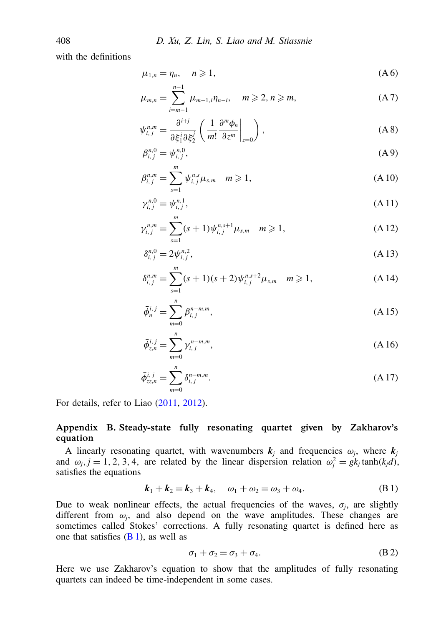with the definitions

$$
\mu_{1,n} = \eta_n, \quad n \geqslant 1,\tag{A6}
$$

$$
\mu_{m,n} = \sum_{i=m-1}^{n-1} \mu_{m-1,i} \eta_{n-i}, \quad m \geqslant 2, n \geqslant m,
$$
\n(A7)

$$
\psi_{i,j}^{n,m} = \frac{\partial^{i+j}}{\partial \xi_1^i \partial \xi_2^j} \left( \frac{1}{m!} \frac{\partial^m \phi_n}{\partial z^m} \bigg|_{z=0} \right),\tag{A 8}
$$

$$
\beta_{i,j}^{n,0} = \psi_{i,j}^{n,0},\tag{A9}
$$

$$
\beta_{i,j}^{n,m} = \sum_{s=1}^{m} \psi_{i,j}^{n,s} \mu_{s,m} \quad m \geqslant 1,
$$
\n(A10)

$$
\gamma_{i,j}^{n,0} = \psi_{i,j}^{n,1},\tag{A.11}
$$

$$
\gamma_{i,j}^{n,m} = \sum_{s=1}^{m} (s+1) \psi_{i,j}^{n,s+1} \mu_{s,m} \quad m \ge 1,
$$
\n(A12)

$$
\delta_{i,j}^{n,0} = 2\psi_{i,j}^{n,2},\tag{A.13}
$$

$$
\delta_{i,j}^{n,m} = \sum_{s=1}^{m} (s+1)(s+2)\psi_{i,j}^{n,s+2}\mu_{s,m} \quad m \ge 1,
$$
 (A 14)

$$
\bar{\phi}_n^{i,j} = \sum_{m=0}^n \beta_{i,j}^{n-m,m},\tag{A.15}
$$

$$
\bar{\phi}_{z,n}^{i,j} = \sum_{m=0}^{n} \gamma_{i,j}^{n-m,m},\tag{A.16}
$$

$$
\bar{\phi}_{zz,n}^{i,j} = \sum_{m=0}^{n} \delta_{i,j}^{n-m,m}.
$$
\n(A 17)

For details, refer to Liao (2011, 2012).

# Appendix B. Steady-state fully resonating quartet given by Zakharov's equation

A linearly resonating quartet, with wavenumbers  $k_j$  and frequencies  $\omega_j$ , where  $k_j$ and  $\omega_j$ ,  $j = 1, 2, 3, 4$ , are related by the linear dispersion relation  $\omega_j^2 = g k_j \tanh(k_j d)$ , satisfies the equations

$$
k_1 + k_2 = k_3 + k_4
$$
,  $\omega_1 + \omega_2 = \omega_3 + \omega_4$ . (B1)

Due to weak nonlinear effects, the actual frequencies of the waves,  $\sigma_j$ , are slightly different from  $\omega_j$ , and also depend on the wave amplitudes. These changes are sometimes called Stokes' corrections. A fully resonating quartet is defined here as one that satisfies  $(B 1)$ , as well as

$$
\sigma_1 + \sigma_2 = \sigma_3 + \sigma_4. \tag{B.2}
$$

Here we use Zakharov's equation to show that the amplitudes of fully resonating quartets can indeed be time-independent in some cases.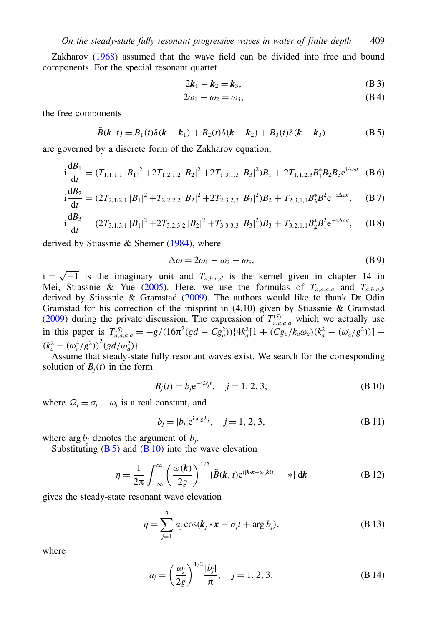*On the steady-state fully resonant progressive waves in water of finite depth* 409

Zakharov (1968) assumed that the wave field can be divided into free and bound components. For the special resonant quartet

$$
2k_1 - k_2 = k_3, \tag{B 3}
$$

$$
2\omega_1 - \omega_2 = \omega_3, \tag{B 4}
$$

the free components

$$
B(k, t) = B_1(t)\delta(k - k_1) + B_2(t)\delta(k - k_2) + B_3(t)\delta(k - k_3)
$$
 (B 5)

are governed by a discrete form of the Zakharov equation,

$$
i\frac{dB_1}{dt} = (T_{1,1,1,1} |B_1|^2 + 2T_{1,2,1,2} |B_2|^2 + 2T_{1,3,1,3} |B_3|^2)B_1 + 2T_{1,1,2,3}B_1^*B_2B_3e^{i\Delta\omega t}, \quad (B \ 6)
$$

$$
i\frac{dB_2}{dt} = (2T_{2,1,2,1}|B_1|^2 + T_{2,2,2,2}|B_2|^2 + 2T_{2,3,2,3}|B_3|^2)B_2 + T_{2,3,1,1}B_3^*B_1^2e^{-i\Delta\omega t}, \quad (B.7)
$$

$$
i\frac{dB_3}{dt} = (2T_{3,1,3,1} |B_1|^2 + 2T_{3,2,3,2} |B_2|^2 + T_{3,3,3,3} |B_3|^2)B_3 + T_{3,2,1,1}B_2^*B_1^2e^{-i\Delta\omega t}, \quad (B\ 8)
$$

derived by Stiassnie & Shemer (1984), where

$$
\Delta \omega = 2\omega_1 - \omega_2 - \omega_3, \tag{B 9}
$$

 $i = \sqrt{-1}$  is the imaginary unit and  $T_{a,b,c,d}$  is the kernel given in chapter 14 in Mei, Stiassnie & Yue (2005). Here, we use the formulas of  $T_{a,a,a,a}$  and  $T_{a,b,a,b}$ derived by Stiassnie & Gramstad (2009). The authors would like to thank Dr Odin Gramstad for his correction of the misprint in (4.10) given by Stiassnie & Gramstad (2009) during the private discussion. The expression of  $T_{a,a,a,a}^{(S)}$  which we actually use in this paper is  $T_{a,a,a,a}^{(S)} = -g/(16\pi^2(gd - Cg_a^2))(4k_a^2[1 + (Cg_a/k_a\omega_a)(k_a^2 - (\omega_a^4/g^2))]$  +  $(k_a^2 - (\omega_a^4/g^2))^2 (gd/\omega_a^2)$ .

Assume that steady-state fully resonant waves exist. We search for the corresponding solution of  $B_i(t)$  in the form

$$
B_j(t) = b_j e^{-i\Omega_j t}, \quad j = 1, 2, 3,
$$
 (B 10)

where  $\Omega_j = \sigma_j - \omega_j$  is a real constant, and

$$
b_j = |b_j|e^{i\arg b_j}, \quad j = 1, 2, 3,
$$
 (B 11)

where  $\arg b_j$  denotes the argument of  $b_j$ .

Substituting  $(B 5)$  and  $(B 10)$  into the wave elevation

$$
\eta = \frac{1}{2\pi} \int_{-\infty}^{\infty} \left(\frac{\omega(k)}{2g}\right)^{1/2} {\{\tilde{B}(k,t)e^{i[k\cdot x - \omega(k)t]}} + *} dk
$$
 (B.12)

gives the steady-state resonant wave elevation

$$
\eta = \sum_{j=1}^{3} a_j \cos(k_j \cdot x - \sigma_j t + \arg b_j), \qquad (B\ 13)
$$

where

$$
a_j = \left(\frac{\omega_j}{2g}\right)^{1/2} \frac{|b_j|}{\pi}, \quad j = 1, 2, 3,
$$
 (B 14)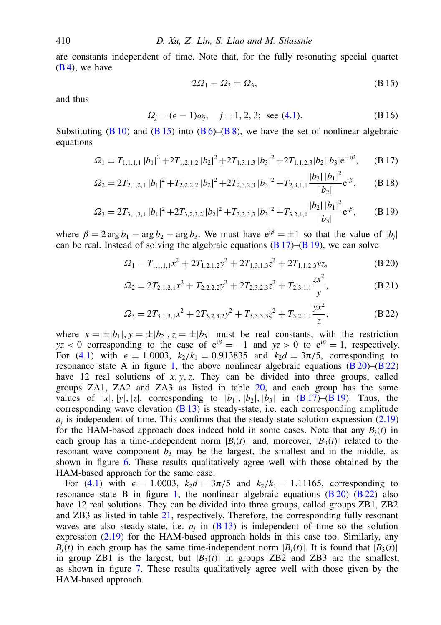are constants independent of time. Note that, for the fully resonating special quartet  $(B 4)$ , we have

$$
2\Omega_1 - \Omega_2 = \Omega_3,\tag{B.15}
$$

and thus

$$
\Omega_j = (\epsilon - 1)\omega_j, \quad j = 1, 2, 3; \text{ see (4.1).}
$$
 (B 16)

Substituting  $(B 10)$  and  $(B 15)$  into  $(B 6)$ – $(B 8)$ , we have the set of nonlinear algebraic equations

$$
\Omega_1 = T_{1,1,1,1} |b_1|^2 + 2T_{1,2,1,2} |b_2|^2 + 2T_{1,3,1,3} |b_3|^2 + 2T_{1,1,2,3} |b_2||b_3|e^{-i\beta}, \quad \text{(B 17)}
$$

$$
\Omega_2 = 2T_{2,1,2,1} |b_1|^2 + T_{2,2,2,2} |b_2|^2 + 2T_{2,3,2,3} |b_3|^2 + T_{2,3,1,1} \frac{|b_3| |b_1|^2}{|b_2|} e^{i\beta},
$$
 (B 18)

$$
\Omega_3 = 2T_{3,1,3,1} |b_1|^2 + 2T_{3,2,3,2} |b_2|^2 + T_{3,3,3,3} |b_3|^2 + T_{3,2,1,1} \frac{|b_2| |b_1|^2}{|b_3|} e^{i\beta}, \quad (B.19)
$$

where  $\beta = 2 \arg b_1 - \arg b_2 - \arg b_3$ . We must have  $e^{i\beta} = \pm 1$  so that the value of  $|b_j|$ can be real. Instead of solving the algebraic equations  $(B\ 17)$ – $(B\ 19)$ , we can solve

$$
\Omega_1 = T_{1,1,1,1}x^2 + 2T_{1,2,1,2}y^2 + 2T_{1,3,1,3}z^2 + 2T_{1,1,2,3}yz,
$$
 (B 20)

$$
\Omega_2 = 2T_{2,1,2,1}x^2 + T_{2,2,2,2}y^2 + 2T_{2,3,2,3}z^2 + T_{2,3,1,1}\frac{zx^2}{y},
$$
\n(B.21)

$$
\Omega_3 = 2T_{3,1,3,1}x^2 + 2T_{3,2,3,2}y^2 + T_{3,3,3,3}z^2 + T_{3,2,1,1}\frac{yx^2}{z},
$$
 (B.22)

where  $x = \pm |b_1|$ ,  $y = \pm |b_2|$ ,  $z = \pm |b_3|$  must be real constants, with the restriction  $yz < 0$  corresponding to the case of  $e^{i\beta} = -1$  and  $yz > 0$  to  $e^{i\beta} = 1$ , respectively. For (4.1) with  $\epsilon = 1.0003$ ,  $k_2/k_1 = 0.913835$  and  $k_2d = 3\pi/5$ , corresponding to resonance state A in figure 1, the above nonlinear algebraic equations  $(B\ 20)$ – $(B\ 22)$ have 12 real solutions of  $x, y, z$ . They can be divided into three groups, called groups ZA1, ZA2 and ZA3 as listed in table 20, and each group has the same values of  $|x|$ ,  $|y|$ ,  $|z|$ , corresponding to  $|b_1|$ ,  $|b_2|$ ,  $|b_3|$  in (B 17)–(B 19). Thus, the corresponding wave elevation  $(B13)$  is steady-state, i.e. each corresponding amplitude  $a_j$  is independent of time. This confirms that the steady-state solution expression  $(2.19)$ for the HAM-based approach does indeed hold in some cases. Note that any  $B_i(t)$  in each group has a time-independent norm  $|B_i(t)|$  and, moreover,  $|B_3(t)|$  related to the resonant wave component  $\overline{b_3}$  may be the largest, the smallest and in the middle, as shown in figure 6. These results qualitatively agree well with those obtained by the HAM-based approach for the same case.

For (4.1) with  $\epsilon = 1.0003$ ,  $k_2d = 3\pi/5$  and  $k_2/k_1 = 1.11165$ , corresponding to resonance state B in figure 1, the nonlinear algebraic equations  $(B\ 20)$ – $(B\ 22)$  also have 12 real solutions. They can be divided into three groups, called groups ZB1, ZB2 and ZB3 as listed in table 21, respectively. Therefore, the corresponding fully resonant waves are also steady-state, i.e.  $a_j$  in  $(B13)$  is independent of time so the solution expression (2.19) for the HAM-based approach holds in this case too. Similarly, any  $B_i(t)$  in each group has the same time-independent norm  $|B_i(t)|$ . It is found that  $|B_3(t)|$ in group ZB1 is the largest, but  $|B_3(t)|$  in groups ZB2 and ZB3 are the smallest, as shown in figure 7. These results qualitatively agree well with those given by the HAM-based approach.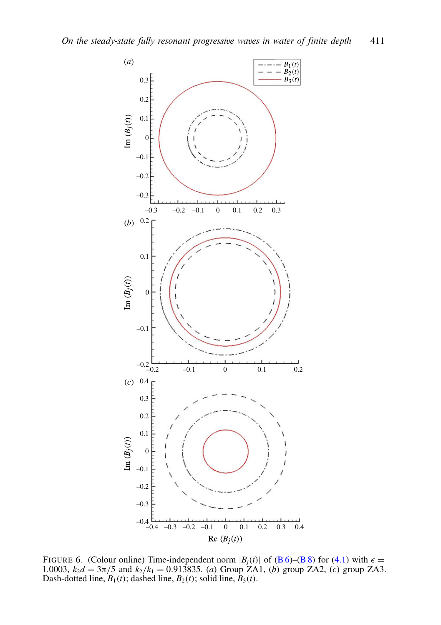

FIGURE 6. (Colour online) Time-independent norm  $|B_j(t)|$  of  $(B \t6)$ – $(B \t8)$  for  $(4.1)$  with  $\epsilon =$ 1.0003,  $k_2d = 3\pi/5$  and  $k_2/k_1 = 0.913835$ . (*a*) Group ZA1, (*b*) group ZA2, (*c*) group ZA3. Dash-dotted line,  $B_1(t)$ ; dashed line,  $B_2(t)$ ; solid line,  $\dot{B}_3(t)$ .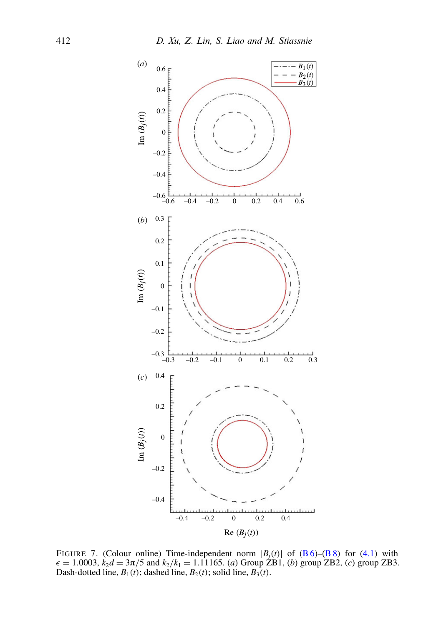

FIGURE 7. (Colour online) Time-independent norm  $|B_j(t)|$  of  $(B \t6)$ – $(B \t8)$  for (4.1) with  $\epsilon = 1.0003, k_2d = 3\pi/5$  and  $k_2/k_1 = 1.11165$ . (*a*) Group ZB1, (*b*) group ZB2, (*c*) group ZB3. Dash-dotted line,  $B_1(t)$ ; dashed line,  $B_2(t)$ ; solid line,  $B_3(t)$ .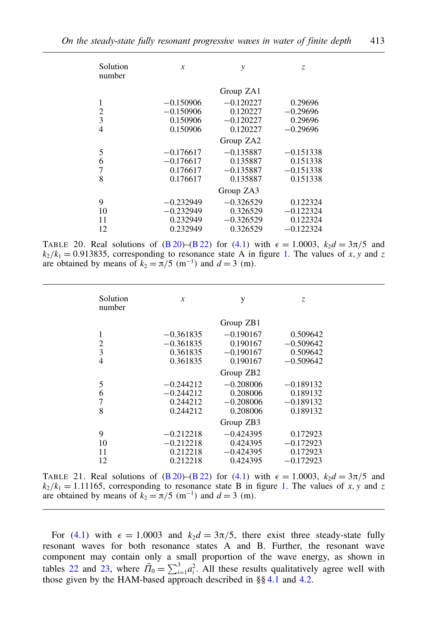| $\boldsymbol{x}$ | y           | Z.          |
|------------------|-------------|-------------|
|                  | Group ZA1   |             |
| $-0.150906$      | $-0.120227$ | 0.29696     |
| $-0.150906$      | 0.120227    | $-0.29696$  |
| 0.150906         | $-0.120227$ | 0.29696     |
| 0.150906         | 0.120227    | $-0.29696$  |
|                  | Group ZA2   |             |
| $-0.176617$      | $-0.135887$ | $-0.151338$ |
| $-0.176617$      | 0.135887    | 0.151338    |
| 0.176617         | $-0.135887$ | $-0.151338$ |
| 0.176617         | 0.135887    | 0.151338    |
|                  | Group ZA3   |             |
| $-0.232949$      | $-0.326529$ | 0.122324    |
| $-0.232949$      | 0.326529    | $-0.122324$ |
| 0.232949         | $-0.326529$ | 0.122324    |
| 0.232949         | 0.326529    | -0.122324   |
|                  |             |             |

TABLE 20. Real solutions of  $(B\ 20)$ – $(B\ 22)$  for  $(4.1)$  with  $\epsilon = 1.0003$ ,  $k_2d = 3\pi/5$  and  $k_2/k_1 = 0.913835$ , corresponding to resonance state A in figure 1. The values of *x*, *y* and *z* are obtained by means of  $k_2 = \pi/5 \text{ (m}^{-1})$  and  $d = 3 \text{ (m)}$ .

| Solution<br>number                                      | $\boldsymbol{x}$                                   | у                                                  | Z.                                                 |
|---------------------------------------------------------|----------------------------------------------------|----------------------------------------------------|----------------------------------------------------|
|                                                         |                                                    | Group ZB1                                          |                                                    |
| 1<br>$\overline{c}$<br>$\overline{3}$<br>$\overline{4}$ | $-0.361835$<br>$-0.361835$<br>0.361835<br>0.361835 | $-0.190167$<br>0.190167<br>$-0.190167$<br>0.190167 | 0.509642<br>$-0.509642$<br>0.509642<br>$-0.509642$ |
|                                                         |                                                    | Group ZB2                                          |                                                    |
| 5<br>6<br>7<br>8                                        | $-0.244212$<br>$-0.244212$<br>0.244212<br>0.244212 | $-0.208006$<br>0.208006<br>$-0.208006$<br>0.208006 | $-0.189132$<br>0.189132<br>$-0.189132$<br>0.189132 |
|                                                         |                                                    | Group ZB3                                          |                                                    |
| 9<br>10<br>11<br>12                                     | $-0.212218$<br>$-0.212218$<br>0.212218<br>0.212218 | $-0.424395$<br>0.424395<br>$-0.424395$<br>0.424395 | 0.172923<br>$-0.172923$<br>0.172923<br>$-0.172923$ |

TABLE 21. Real solutions of (B 20)–(B 22) for (4.1) with  $\epsilon = 1.0003$ ,  $k_2d = 3\pi/5$  and  $k_2/k_1 = 1.11165$ , corresponding to resonance state B in figure 1. The values of *x*, *y* and *z* are obtained by means of  $k_2 = \pi/5$  (m<sup>-1</sup>) and  $d = 3$  (m).

For (4.1) with  $\epsilon = 1.0003$  and  $k_2d = 3\pi/5$ , there exist three steady-state fully resonant waves for both resonance states A and B. Further, the resonant wave component may contain only a small proportion of the wave energy, as shown in tables 22 and 23, where  $\Pi_0 = \sum_{i=1}^3 a_i^2$ . All these results qualitatively agree well with those given by the HAM-based approach described in §§ 4.1 and 4.2.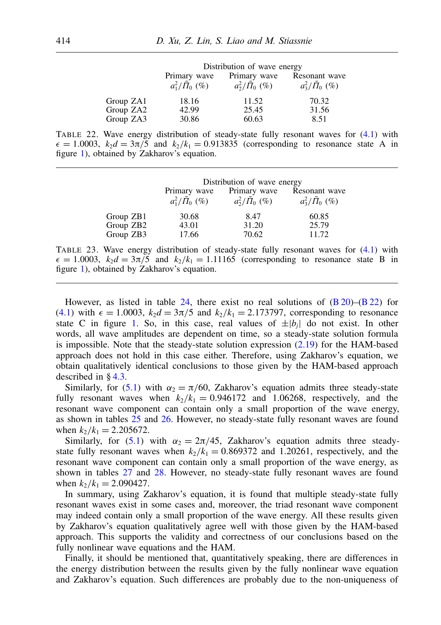|           | Distribution of wave energy  |                         |                         |  |
|-----------|------------------------------|-------------------------|-------------------------|--|
|           | Primary wave<br>Primary wave |                         | Resonant wave           |  |
|           | $a_1^2/\bar{\Pi}_0$ (%)      | $a_2^2/\bar{\Pi}_0$ (%) | $a_3^2/\bar{\Pi}_0$ (%) |  |
| Group ZA1 | 18.16                        | 11.52                   | 70.32                   |  |
| Group ZA2 | 42.99                        | 25.45                   | 31.56                   |  |
| Group ZA3 | 30.86                        | 60.63                   | 8.51                    |  |

TABLE 22. Wave energy distribution of steady-state fully resonant waves for (4.1) with  $\epsilon = 1.0003$ ,  $k_2d = 3\pi/5$  and  $k_2/k_1 = 0.913835$  (corresponding to resonance state A in figure 1), obtained by Zakharov's equation.

|           | Distribution of wave energy |                         |                         |  |
|-----------|-----------------------------|-------------------------|-------------------------|--|
|           | Primary wave                | Primary wave            | Resonant wave           |  |
|           | $a_1^2/\bar{\Pi}_0$ (%)     | $a_2^2/\bar{\Pi}_0$ (%) | $a_3^2/\bar{\Pi}_0$ (%) |  |
| Group ZB1 | 30.68                       | 8.47                    | 60.85                   |  |
| Group ZB2 | 43.01                       | 31.20                   | 25.79                   |  |
| Group ZB3 | 17.66                       | 70.62                   | 11.72                   |  |

TABLE 23. Wave energy distribution of steady-state fully resonant waves for  $(4.1)$  with  $\epsilon = 1.0003$ ,  $k_2d = 3\pi/5$  and  $k_2/k_1 = 1.11165$  (corresponding to resonance state B in figure 1), obtained by Zakharov's equation.

However, as listed in table 24, there exist no real solutions of  $(B\ 20)$ – $(B\ 22)$  for (4.1) with  $\epsilon = 1.0003$ ,  $k_2d = 3\pi/5$  and  $k_2/k_1 = 2.173797$ , corresponding to resonance state C in figure 1. So, in this case, real values of  $\pm |b_j|$  do not exist. In other words, all wave amplitudes are dependent on time, so a steady-state solution formula is impossible. Note that the steady-state solution expression (2.19) for the HAM-based approach does not hold in this case either. Therefore, using Zakharov's equation, we obtain qualitatively identical conclusions to those given by the HAM-based approach described in § 4.3.

Similarly, for (5.1) with  $\alpha_2 = \pi/60$ , Zakharov's equation admits three steady-state fully resonant waves when  $k_2/k_1 = 0.946172$  and 1.06268, respectively, and the resonant wave component can contain only a small proportion of the wave energy, as shown in tables 25 and 26. However, no steady-state fully resonant waves are found when  $k_2/k_1 = 2.205672$ .

Similarly, for (5.1) with  $\alpha_2 = 2\pi/45$ , Zakharov's equation admits three steadystate fully resonant waves when  $k_2/k_1 = 0.869372$  and 1.20261, respectively, and the resonant wave component can contain only a small proportion of the wave energy, as shown in tables 27 and 28. However, no steady-state fully resonant waves are found when  $k_2/k_1 = 2.090427$ .

In summary, using Zakharov's equation, it is found that multiple steady-state fully resonant waves exist in some cases and, moreover, the triad resonant wave component may indeed contain only a small proportion of the wave energy. All these results given by Zakharov's equation qualitatively agree well with those given by the HAM-based approach. This supports the validity and correctness of our conclusions based on the fully nonlinear wave equations and the HAM.

Finally, it should be mentioned that, quantitatively speaking, there are differences in the energy distribution between the results given by the fully nonlinear wave equation and Zakharov's equation. Such differences are probably due to the non-uniqueness of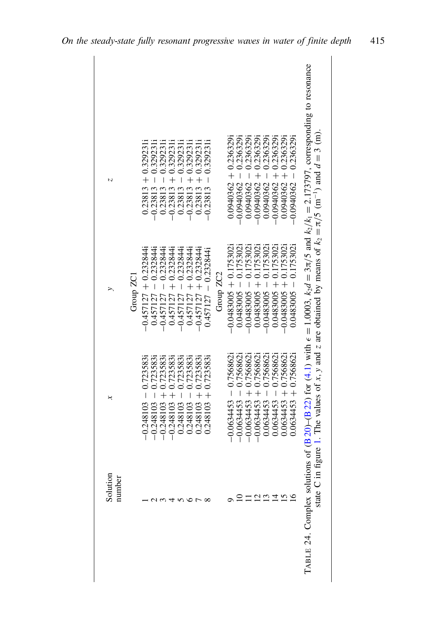| N                  | $-0.0940362 - 0.236329i$<br>$-0.0940362 + 0.236329i$<br>$0.0940362 + 0.236329i$<br>$-0.236329i$<br>$0.0940362 - 0.236329i$<br>$+0.236329i$<br>$-0.236329i$<br>$0.0940362 + 0.236329i$<br>0.329231i<br>$0.23813 + 0.329231i$<br>$0.23813 + 0.329231$<br>$-0.23813 - 0.329231$<br>$-0.23813 + 0.329231$<br>0.329231<br>$-0.23813 + 0.329231$<br>0.329231<br>$0.23813 -$<br>$0.23813 -$<br>$-0.23813 -$<br>$-0.0940362$<br>$-0.0940362$<br>0.0940362                                                    | of (B 20)–(B 22) for (4.1) with $\epsilon = 1.0003$ , $k_2 d = 3\pi/5$ and $k_2/k_1 = 2.173797$ , corresponding to resonance |
|--------------------|------------------------------------------------------------------------------------------------------------------------------------------------------------------------------------------------------------------------------------------------------------------------------------------------------------------------------------------------------------------------------------------------------------------------------------------------------------------------------------------------------|------------------------------------------------------------------------------------------------------------------------------|
|                    | $0.0483005 - 0.175302i$<br>$-0.0483005 + 0.175302i$<br>$0.0483005 + 0.175302i$<br>$0.0483005 + 0.175302i$<br>$-0.0483005 + 0.175302i$<br>$0.0483005 - 0.1753025$<br>$-0.175302i$<br>$-0.175302i$<br>$0.457127 - 0.232844i$<br>$-0.457127 + 0.232844i$<br>$-0.457127 + 0.232844$<br>0.232844<br>$+ 0.232844i$<br>0.232844<br>$0.457127 + 0.232844i$<br>$0.457127 - 0.232844i$<br>Group ZC2<br>Group ZC1<br>$\overline{a}$<br>$-0.457127 -$<br>$-0.0483005$<br>$-0.0483005$<br>$-0.457127$<br>0.457127 |                                                                                                                              |
| ×                  | $0.0634453 + 0.756862i$<br>0.756862i<br>0.756862i<br>$0.0634453 + 0.756862i$<br>$-0.0634453 - 0.756862i$<br>$-0.0634453 + 0.756862i$<br>$-0.756862i$<br>$-0.756862$<br>$-0.248103 - 0.723583i$<br>$+0.723583i$<br>$-0.723583i$<br>$0.248103 + 0.723583i$<br>$-0.248103 - 0.723583i$<br>$-0.248103 + 0.723583i$<br>$-0.723583i$<br>$+0.723583i$<br>$-0.0634453 +$<br>$\overline{1}$<br>0.0634453<br>0.248103<br>$-0.248103$<br>0.0634453<br>$-0.0634453$<br>0.248103<br>0.248103                      | state C in figure 1. The values of x, y and z are obtained by means of $k_2 = \pi/5$ (m <sup>-1</sup> ) and $d = 3$ (m)      |
| Solution<br>number | 21221<br>$\frac{5}{16}$                                                                                                                                                                                                                                                                                                                                                                                                                                                                              | LABLE 24. Complex solutions                                                                                                  |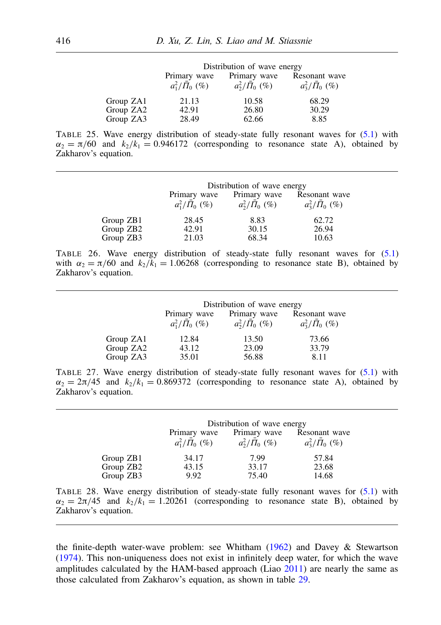|           | Distribution of wave energy |                         |                         |
|-----------|-----------------------------|-------------------------|-------------------------|
|           | Primary wave                | Primary wave            | Resonant wave           |
|           | $a_1^2/\bar{\Pi}_0$ (%)     | $a_2^2/\bar{\Pi}_0$ (%) | $a_3^2/\bar{\Pi}_0$ (%) |
| Group ZA1 | 21.13                       | 10.58                   | 68.29                   |
| Group ZA2 | 42.91                       | 26.80                   | 30.29                   |
| Group ZA3 | 28.49                       | 62.66                   | 8.85                    |

TABLE 25. Wave energy distribution of steady-state fully resonant waves for (5.1) with  $\alpha_2 = \pi/60$  and  $k_2/k_1 = 0.946172$  (corresponding to resonance state A), obtained by Zakharov's equation.

|           | Distribution of wave energy |                         |                         |
|-----------|-----------------------------|-------------------------|-------------------------|
|           | Primary wave                | Resonant wave           |                         |
|           | $a_1^2/\bar{\Pi}_0$ (%)     | $a_2^2/\bar{\Pi}_0$ (%) | $a_3^2/\bar{\Pi}_0$ (%) |
| Group ZB1 | 28.45                       | 8.83                    | 62.72                   |
| Group ZB2 | 42.91                       | 30.15                   | 26.94                   |
| Group ZB3 | 21.03                       | 68.34                   | 10.63                   |

TABLE 26. Wave energy distribution of steady-state fully resonant waves for (5.1) with  $\alpha_2 = \pi/60$  and  $k_2/k_1 = 1.06268$  (corresponding to resonance state B), obtained by Zakharov's equation.

|           | Distribution of wave energy                   |                         |                         |
|-----------|-----------------------------------------------|-------------------------|-------------------------|
|           | Primary wave<br>Primary wave<br>Resonant wave |                         |                         |
|           | $a_1^2/\bar{\Pi}_0$ (%)                       | $a_2^2/\bar{\Pi}_0$ (%) | $a_3^2/\bar{\Pi}_0$ (%) |
| Group ZA1 | 12.84                                         | 13.50                   | 73.66                   |
| Group ZA2 | 43.12                                         | 23.09                   | 33.79                   |
| Group ZA3 | 35.01                                         | 56.88                   | 8.11                    |

TABLE 27. Wave energy distribution of steady-state fully resonant waves for (5.1) with  $\alpha_2 = 2\pi/45$  and  $k_2/k_1 = 0.869372$  (corresponding to resonance state A), obtained by Zakharov's equation.

|           | Distribution of wave energy                   |                         |                         |
|-----------|-----------------------------------------------|-------------------------|-------------------------|
|           | Primary wave<br>Resonant wave<br>Primary wave |                         |                         |
|           | $a_1^2/\bar{\Pi}_0$ (%)                       | $a_2^2/\bar{\Pi}_0$ (%) | $a_3^2/\bar{\Pi}_0$ (%) |
| Group ZB1 | 34.17                                         | 7.99                    | 57.84                   |
| Group ZB2 | 43.15                                         | 33.17                   | 23.68                   |
| Group ZB3 | 9.92                                          | 75.40                   | 14.68                   |

TABLE 28. Wave energy distribution of steady-state fully resonant waves for (5.1) with  $\alpha_2 = 2\pi/45$  and  $k_2/k_1 = 1.20261$  (corresponding to resonance state B), obtained by Zakharov's equation.

the finite-depth water-wave problem: see Whitham  $(1962)$  and Davey & Stewartson (1974). This non-uniqueness does not exist in infinitely deep water, for which the wave amplitudes calculated by the HAM-based approach (Liao 2011) are nearly the same as those calculated from Zakharov's equation, as shown in table 29.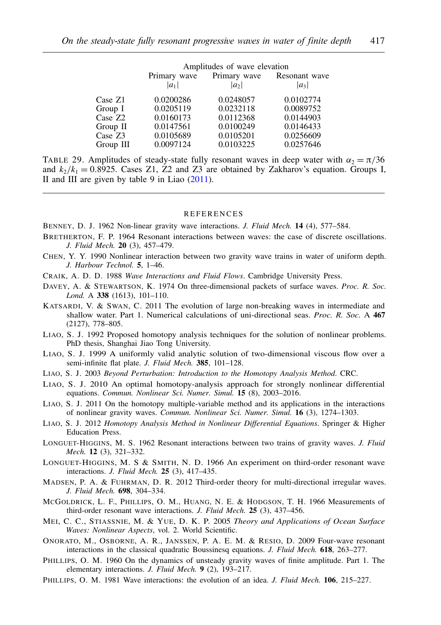|                     | Amplitudes of wave elevation |              |               |
|---------------------|------------------------------|--------------|---------------|
|                     | Primary wave                 | Primary wave | Resonant wave |
|                     | $ a_1 $                      | $ a_2 $      | $ a_3 $       |
| Case Z1             | 0.0200286                    | 0.0248057    | 0.0102774     |
| Group I             | 0.0205119                    | 0.0232118    | 0.0089752     |
| Case Z <sub>2</sub> | 0.0160173                    | 0.0112368    | 0.0144903     |
| Group II            | 0.0147561                    | 0.0100249    | 0.0146433     |
| Case Z3             | 0.0105689                    | 0.0105201    | 0.0256609     |
| Group III           | 0.0097124                    | 0.0103225    | 0.0257646     |

TABLE 29. Amplitudes of steady-state fully resonant waves in deep water with  $\alpha_2 = \pi/36$ and  $k_2/k_1 = 0.8925$ . Cases Z1, Z2 and Z3 are obtained by Zakharov's equation. Groups I, II and III are given by table 9 in Liao (2011).

#### **REFERENCES**

BENNEY, D. J. 1962 Non-linear gravity wave interactions. *J. Fluid Mech.* 14 (4), 577–584.

- BRETHERTON, F. P. 1964 Resonant interactions between waves: the case of discrete oscillations. *J. Fluid Mech.* 20 (3), 457–479.
- CHEN, Y. Y. 1990 Nonlinear interaction between two gravity wave trains in water of uniform depth. *J. Harbour Technol.* 5, 1–46.
- CRAIK, A. D. D. 1988 *Wave Interactions and Fluid Flows*. Cambridge University Press.
- DAVEY, A. & STEWARTSON, K. 1974 On three-dimensional packets of surface waves. *Proc. R. Soc. Lond.* A 338 (1613), 101–110.
- KATSARDI, V. & SWAN, C. 2011 The evolution of large non-breaking waves in intermediate and shallow water. Part 1. Numerical calculations of uni-directional seas. *Proc. R. Soc.* A 467 (2127), 778–805.
- LIAO, S. J. 1992 Proposed homotopy analysis techniques for the solution of nonlinear problems. PhD thesis, Shanghai Jiao Tong University.
- LIAO, S. J. 1999 A uniformly valid analytic solution of two-dimensional viscous flow over a semi-infinite flat plate. *J. Fluid Mech.* 385, 101–128.
- LIAO, S. J. 2003 *Beyond Perturbation: Introduction to the Homotopy Analysis Method*. CRC.
- LIAO, S. J. 2010 An optimal homotopy-analysis approach for strongly nonlinear differential equations. *Commun. Nonlinear Sci. Numer. Simul.* 15 (8), 2003–2016.
- LIAO, S. J. 2011 On the homotopy multiple-variable method and its applications in the interactions of nonlinear gravity waves. *Commun. Nonlinear Sci. Numer. Simul.* 16 (3), 1274–1303.
- LIAO, S. J. 2012 *Homotopy Analysis Method in Nonlinear Differential Equations*. Springer & Higher Education Press.
- LONGUET-HIGGINS, M. S. 1962 Resonant interactions between two trains of gravity waves. *J. Fluid Mech.* 12 (3), 321–332.
- LONGUET-HIGGINS, M. S & SMITH, N. D. 1966 An experiment on third-order resonant wave interactions. *J. Fluid Mech.* 25 (3), 417–435.
- MADSEN, P. A. & FUHRMAN, D. R. 2012 Third-order theory for multi-directional irregular waves. *J. Fluid Mech.* 698, 304–334.
- MCGOLDRICK, L. F., PHILLIPS, O. M., HUANG, N. E. & HODGSON, T. H. 1966 Measurements of third-order resonant wave interactions. *J. Fluid Mech.* 25 (3), 437–456.
- MEI, C. C., STIASSNIE, M. & YUE, D. K. P. 2005 *Theory and Applications of Ocean Surface Waves: Nonlinear Aspects*, vol. 2. World Scientific.
- ONORATO, M., OSBORNE, A. R., JANSSEN, P. A. E. M. & RESIO, D. 2009 Four-wave resonant interactions in the classical quadratic Boussinesq equations. *J. Fluid Mech.* 618, 263–277.
- PHILLIPS, O. M. 1960 On the dynamics of unsteady gravity waves of finite amplitude. Part 1. The elementary interactions. *J. Fluid Mech.* 9 (2), 193–217.
- PHILLIPS, O. M. 1981 Wave interactions: the evolution of an idea. *J. Fluid Mech.* 106, 215–227.